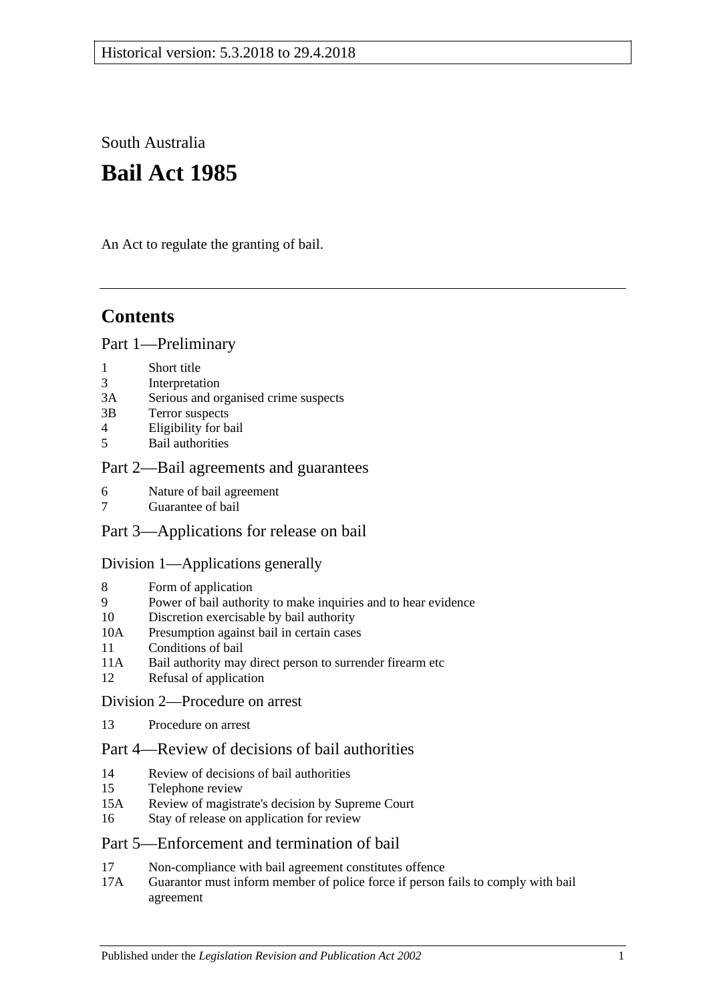South Australia

# **Bail Act 1985**

An Act to regulate the granting of bail.

# **Contents**

#### [Part 1—Preliminary](#page-1-0)

- 1 [Short title](#page-1-1)
- 3 [Interpretation](#page-1-2)
- 3A [Serious and organised crime suspects](#page-3-0)
- 3B [Terror suspects](#page-4-0)
- 4 [Eligibility for bail](#page-4-1)
- 5 [Bail authorities](#page-5-0)

#### [Part 2—Bail agreements and guarantees](#page-6-0)

- 6 [Nature of bail agreement](#page-6-1)
- 7 [Guarantee of bail](#page-7-0)

### Part [3—Applications for release on bail](#page-8-0)

#### [Division 1—Applications generally](#page-8-1)

- 8 [Form of application](#page-8-2)
- 9 [Power of bail authority to make inquiries and to hear evidence](#page-9-0)
- 10 [Discretion exercisable by bail authority](#page-9-1)
- 10A [Presumption against bail in certain cases](#page-10-0)
- 11 [Conditions of bail](#page-11-0)
- 11A [Bail authority may direct person to surrender firearm etc](#page-15-0)
- 12 [Refusal of application](#page-16-0)

#### [Division 2—Procedure on arrest](#page-16-1)

13 [Procedure on arrest](#page-16-2)

### [Part 4—Review of decisions of bail authorities](#page-17-0)

- 14 [Review of decisions of bail authorities](#page-17-1)
- 15 [Telephone review](#page-18-0)
- 15A [Review of magistrate's decision by Supreme Court](#page-19-0)
- 16 [Stay of release on application for review](#page-19-1)

### [Part 5—Enforcement and termination of bail](#page-20-0)

- 17 [Non-compliance with bail agreement constitutes offence](#page-20-1)
- 17A [Guarantor must inform member of police force if person fails to comply with bail](#page-21-0)  [agreement](#page-21-0)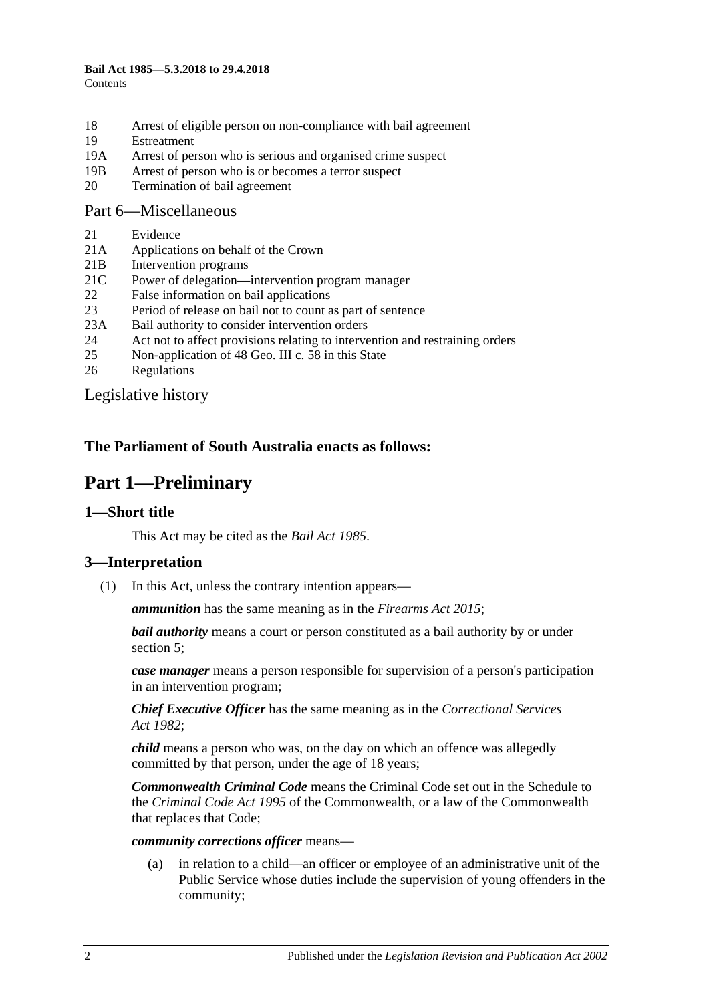- 18 [Arrest of eligible person on non-compliance with bail agreement](#page-21-1)
- 19 [Estreatment](#page-21-2)
- 19A [Arrest of person who is serious and organised crime suspect](#page-22-0)
- 19B [Arrest of person who is or becomes a terror suspect](#page-22-1)
- 20 [Termination of bail agreement](#page-22-2)

#### [Part 6—Miscellaneous](#page-22-3)

- 21 [Evidence](#page-22-4)
- 21A [Applications on behalf of the Crown](#page-23-0)
- 21B [Intervention programs](#page-23-1)
- 21C [Power of delegation—intervention program manager](#page-24-0)
- 22 [False information on bail applications](#page-24-1)
- 23 [Period of release on bail not to count as part of sentence](#page-24-2)
- 23A [Bail authority to consider intervention orders](#page-24-3)
- 24 [Act not to affect provisions relating to intervention and restraining orders](#page-25-0)
- 25 [Non-application of 48 Geo. III c. 58 in this State](#page-25-1)
- 26 [Regulations](#page-25-2)

[Legislative history](#page-26-0)

### <span id="page-1-0"></span>**The Parliament of South Australia enacts as follows:**

# **Part 1—Preliminary**

### <span id="page-1-1"></span>**1—Short title**

This Act may be cited as the *Bail Act 1985*.

### <span id="page-1-2"></span>**3—Interpretation**

(1) In this Act, unless the contrary intention appears—

*ammunition* has the same meaning as in the *[Firearms Act](http://www.legislation.sa.gov.au/index.aspx?action=legref&type=act&legtitle=Firearms%20Act%202015) 2015*;

*bail authority* means a court or person constituted as a bail authority by or under [section](#page-5-0) 5;

*case manager* means a person responsible for supervision of a person's participation in an intervention program;

*Chief Executive Officer* has the same meaning as in the *[Correctional Services](http://www.legislation.sa.gov.au/index.aspx?action=legref&type=act&legtitle=Correctional%20Services%20Act%201982)  Act [1982](http://www.legislation.sa.gov.au/index.aspx?action=legref&type=act&legtitle=Correctional%20Services%20Act%201982)*;

*child* means a person who was, on the day on which an offence was allegedly committed by that person, under the age of 18 years;

*Commonwealth Criminal Code* means the Criminal Code set out in the Schedule to the *Criminal Code Act 1995* of the Commonwealth, or a law of the Commonwealth that replaces that Code;

#### *community corrections officer* means—

(a) in relation to a child—an officer or employee of an administrative unit of the Public Service whose duties include the supervision of young offenders in the community;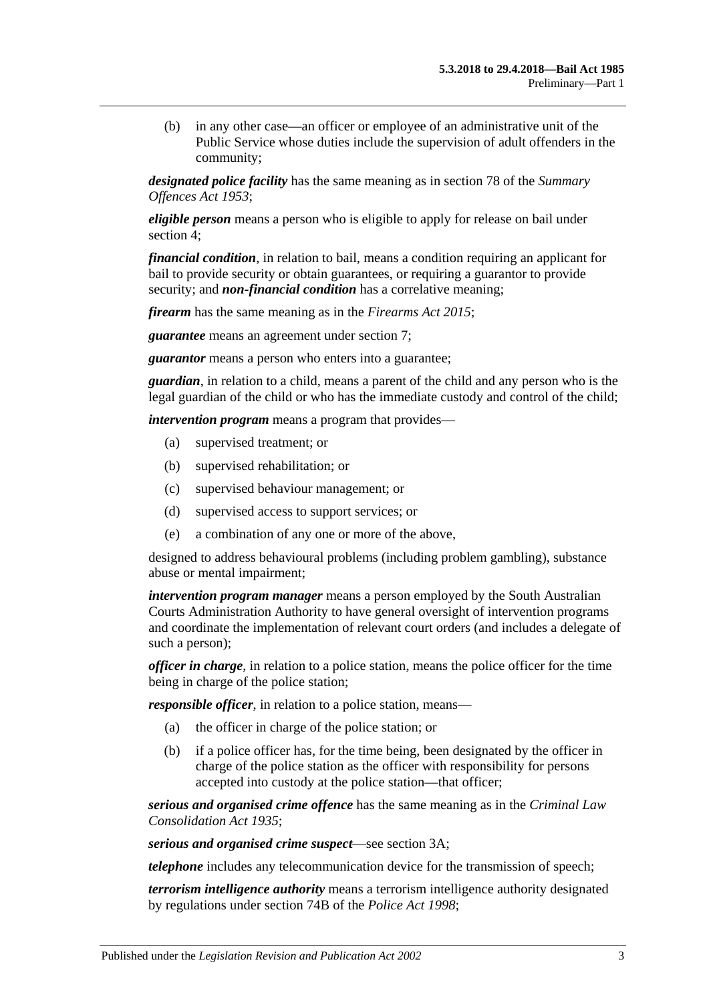(b) in any other case—an officer or employee of an administrative unit of the Public Service whose duties include the supervision of adult offenders in the community;

*designated police facility* has the same meaning as in section 78 of the *[Summary](http://www.legislation.sa.gov.au/index.aspx?action=legref&type=act&legtitle=Summary%20Offences%20Act%201953)  [Offences Act](http://www.legislation.sa.gov.au/index.aspx?action=legref&type=act&legtitle=Summary%20Offences%20Act%201953) 1953*;

*eligible person* means a person who is eligible to apply for release on bail under [section](#page-4-1) 4;

*financial condition*, in relation to bail, means a condition requiring an applicant for bail to provide security or obtain guarantees, or requiring a guarantor to provide security; and *non-financial condition* has a correlative meaning;

*firearm* has the same meaning as in the *[Firearms Act](http://www.legislation.sa.gov.au/index.aspx?action=legref&type=act&legtitle=Firearms%20Act%202015) 2015*;

*guarantee* means an agreement under [section](#page-7-0) 7;

*guarantor* means a person who enters into a guarantee;

*guardian*, in relation to a child, means a parent of the child and any person who is the legal guardian of the child or who has the immediate custody and control of the child;

*intervention program* means a program that provides—

- (a) supervised treatment; or
- (b) supervised rehabilitation; or
- (c) supervised behaviour management; or
- (d) supervised access to support services; or
- (e) a combination of any one or more of the above,

designed to address behavioural problems (including problem gambling), substance abuse or mental impairment;

*intervention program manager* means a person employed by the South Australian Courts Administration Authority to have general oversight of intervention programs and coordinate the implementation of relevant court orders (and includes a delegate of such a person);

*officer in charge*, in relation to a police station, means the police officer for the time being in charge of the police station;

*responsible officer*, in relation to a police station, means—

- (a) the officer in charge of the police station; or
- (b) if a police officer has, for the time being, been designated by the officer in charge of the police station as the officer with responsibility for persons accepted into custody at the police station—that officer;

*serious and organised crime offence* has the same meaning as in the *[Criminal Law](http://www.legislation.sa.gov.au/index.aspx?action=legref&type=act&legtitle=Criminal%20Law%20Consolidation%20Act%201935)  [Consolidation Act](http://www.legislation.sa.gov.au/index.aspx?action=legref&type=act&legtitle=Criminal%20Law%20Consolidation%20Act%201935) 1935*;

*serious and organised crime suspect*—see [section](#page-3-0) 3A;

*telephone* includes any telecommunication device for the transmission of speech;

*terrorism intelligence authority* means a terrorism intelligence authority designated by regulations under section 74B of the *[Police Act](http://www.legislation.sa.gov.au/index.aspx?action=legref&type=act&legtitle=Police%20Act%201998) 1998*;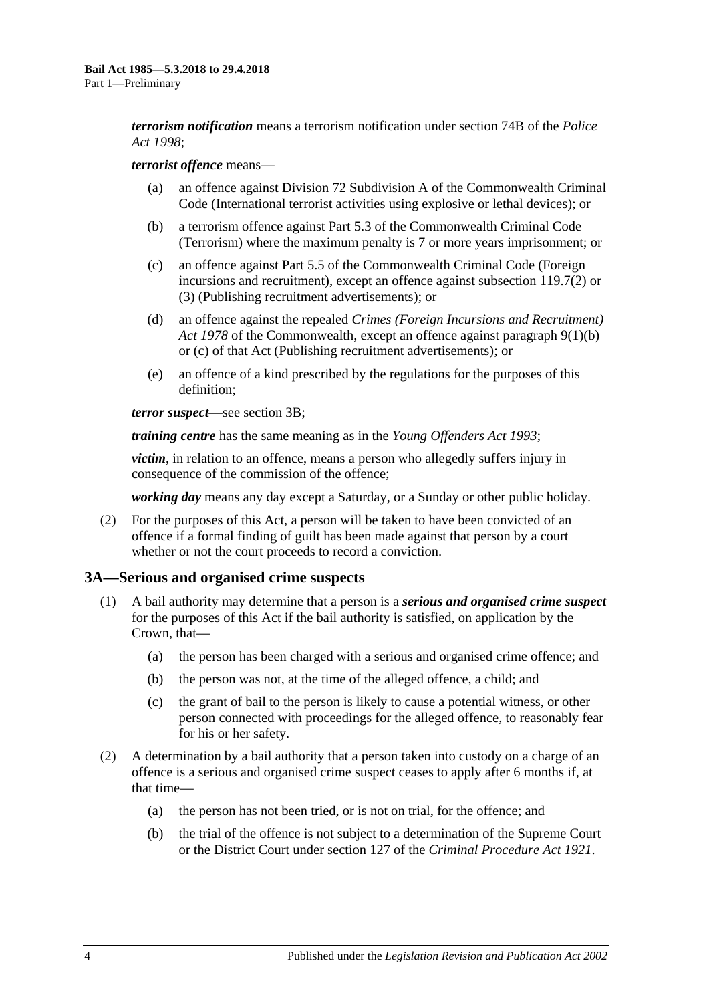*terrorism notification* means a terrorism notification under section 74B of the *[Police](http://www.legislation.sa.gov.au/index.aspx?action=legref&type=act&legtitle=Police%20Act%201998)  Act [1998](http://www.legislation.sa.gov.au/index.aspx?action=legref&type=act&legtitle=Police%20Act%201998)*;

#### *terrorist offence* means—

- (a) an offence against Division 72 Subdivision A of the Commonwealth Criminal Code (International terrorist activities using explosive or lethal devices); or
- (b) a terrorism offence against Part 5.3 of the Commonwealth Criminal Code (Terrorism) where the maximum penalty is 7 or more years imprisonment; or
- (c) an offence against Part 5.5 of the Commonwealth Criminal Code (Foreign incursions and recruitment), except an offence against subsection 119.7(2) or (3) (Publishing recruitment advertisements); or
- (d) an offence against the repealed *Crimes (Foreign Incursions and Recruitment) Act 1978* of the Commonwealth, except an offence against paragraph 9(1)(b) or (c) of that Act (Publishing recruitment advertisements); or
- (e) an offence of a kind prescribed by the regulations for the purposes of this definition;

*terror suspect*—see [section](#page-4-0) 3B;

*training centre* has the same meaning as in the *[Young Offenders Act](http://www.legislation.sa.gov.au/index.aspx?action=legref&type=act&legtitle=Young%20Offenders%20Act%201993) 1993*;

*victim*, in relation to an offence, means a person who allegedly suffers injury in consequence of the commission of the offence;

*working day* means any day except a Saturday, or a Sunday or other public holiday.

(2) For the purposes of this Act, a person will be taken to have been convicted of an offence if a formal finding of guilt has been made against that person by a court whether or not the court proceeds to record a conviction.

#### <span id="page-3-0"></span>**3A—Serious and organised crime suspects**

- <span id="page-3-3"></span><span id="page-3-2"></span>(1) A bail authority may determine that a person is a *serious and organised crime suspect* for the purposes of this Act if the bail authority is satisfied, on application by the Crown, that—
	- (a) the person has been charged with a serious and organised crime offence; and
	- (b) the person was not, at the time of the alleged offence, a child; and
	- (c) the grant of bail to the person is likely to cause a potential witness, or other person connected with proceedings for the alleged offence, to reasonably fear for his or her safety.
- <span id="page-3-4"></span><span id="page-3-1"></span>(2) A determination by a bail authority that a person taken into custody on a charge of an offence is a serious and organised crime suspect ceases to apply after 6 months if, at that time—
	- (a) the person has not been tried, or is not on trial, for the offence; and
	- (b) the trial of the offence is not subject to a determination of the Supreme Court or the District Court under section 127 of the *[Criminal Procedure Act 1921](http://www.legislation.sa.gov.au/index.aspx?action=legref&type=act&legtitle=Criminal%20Procedure%20Act%201921)*.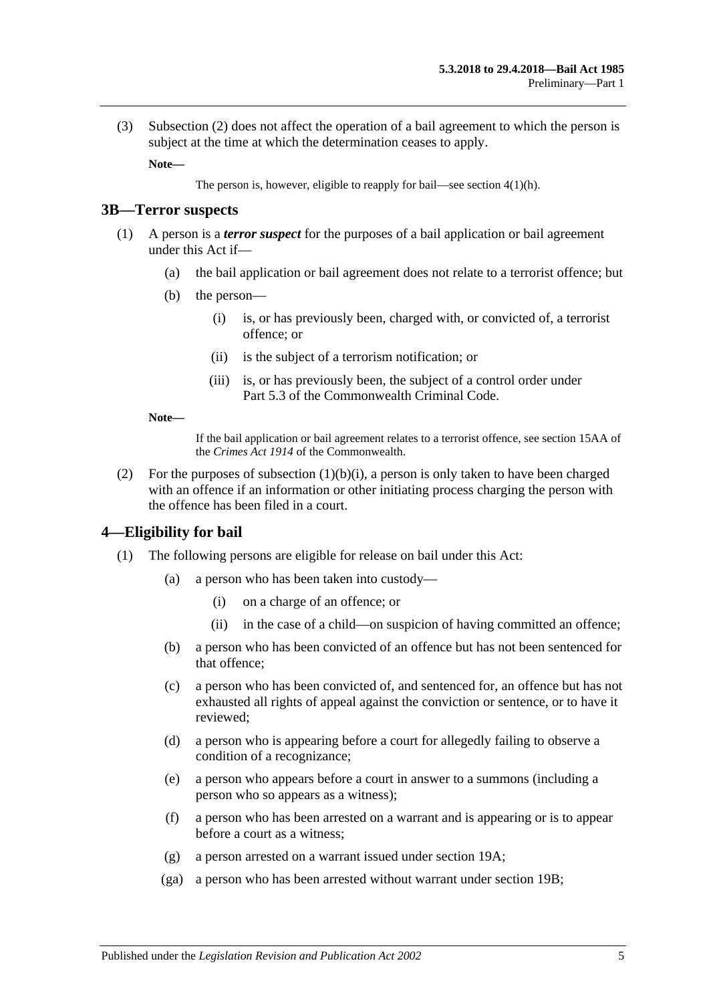(3) [Subsection](#page-3-1) (2) does not affect the operation of a bail agreement to which the person is subject at the time at which the determination ceases to apply.

**Note—**

The person is, however, eligible to reapply for bail—see section [4\(1\)\(h\).](#page-5-1)

#### <span id="page-4-0"></span>**3B—Terror suspects**

- <span id="page-4-2"></span>(1) A person is a *terror suspect* for the purposes of a bail application or bail agreement under this Act if—
	- (a) the bail application or bail agreement does not relate to a terrorist offence; but
	- (b) the person—
		- (i) is, or has previously been, charged with, or convicted of, a terrorist offence; or
		- (ii) is the subject of a terrorism notification; or
		- (iii) is, or has previously been, the subject of a control order under Part 5.3 of the Commonwealth Criminal Code.

#### **Note—**

If the bail application or bail agreement relates to a terrorist offence, see section 15AA of the *Crimes Act 1914* of the Commonwealth.

(2) For the purposes of [subsection](#page-4-2)  $(1)(b)(i)$ , a person is only taken to have been charged with an offence if an information or other initiating process charging the person with the offence has been filed in a court.

#### <span id="page-4-1"></span>**4—Eligibility for bail**

- (1) The following persons are eligible for release on bail under this Act:
	- (a) a person who has been taken into custody—
		- (i) on a charge of an offence; or
		- (ii) in the case of a child—on suspicion of having committed an offence;
	- (b) a person who has been convicted of an offence but has not been sentenced for that offence;
	- (c) a person who has been convicted of, and sentenced for, an offence but has not exhausted all rights of appeal against the conviction or sentence, or to have it reviewed;
	- (d) a person who is appearing before a court for allegedly failing to observe a condition of a recognizance;
	- (e) a person who appears before a court in answer to a summons (including a person who so appears as a witness);
	- (f) a person who has been arrested on a warrant and is appearing or is to appear before a court as a witness;
	- (g) a person arrested on a warrant issued under [section](#page-22-0) 19A;
	- (ga) a person who has been arrested without warrant under [section](#page-22-1) 19B;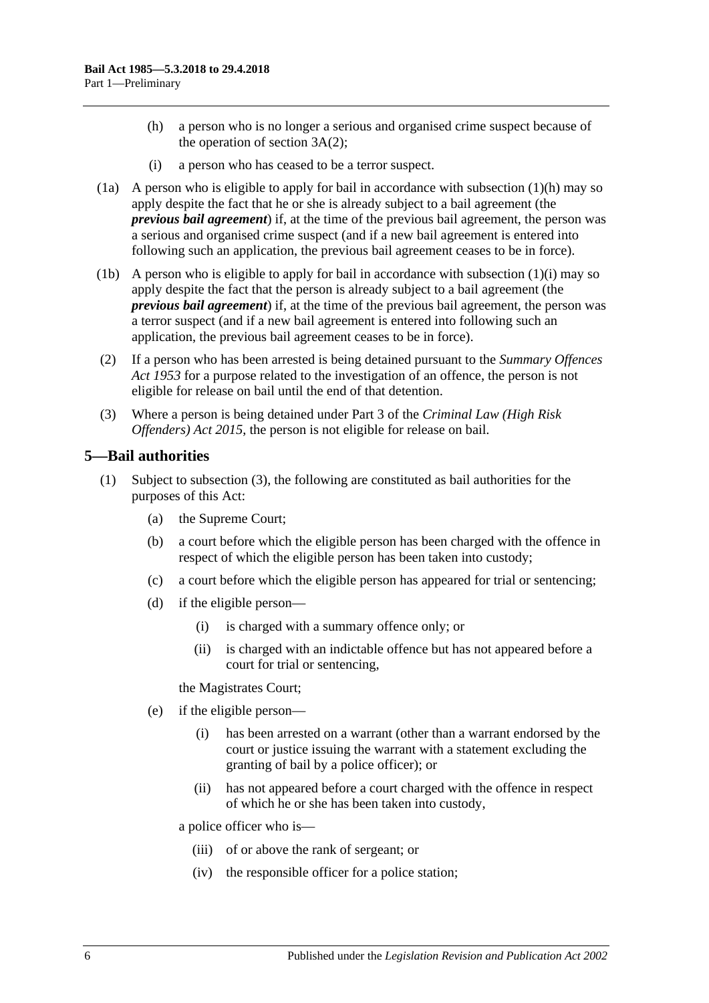- <span id="page-5-1"></span>(h) a person who is no longer a serious and organised crime suspect because of the operation of [section](#page-3-1) 3A(2);
- (i) a person who has ceased to be a terror suspect.
- <span id="page-5-2"></span>(1a) A person who is eligible to apply for bail in accordance with [subsection](#page-5-1)  $(1)(h)$  may so apply despite the fact that he or she is already subject to a bail agreement (the *previous bail agreement*) if, at the time of the previous bail agreement, the person was a serious and organised crime suspect (and if a new bail agreement is entered into following such an application, the previous bail agreement ceases to be in force).
- (1b) A person who is eligible to apply for bail in accordance with [subsection](#page-5-2) (1)(i) may so apply despite the fact that the person is already subject to a bail agreement (the *previous bail agreement*) if, at the time of the previous bail agreement, the person was a terror suspect (and if a new bail agreement is entered into following such an application, the previous bail agreement ceases to be in force).
- (2) If a person who has been arrested is being detained pursuant to the *[Summary Offences](http://www.legislation.sa.gov.au/index.aspx?action=legref&type=act&legtitle=Summary%20Offences%20Act%201953)  Act [1953](http://www.legislation.sa.gov.au/index.aspx?action=legref&type=act&legtitle=Summary%20Offences%20Act%201953)* for a purpose related to the investigation of an offence, the person is not eligible for release on bail until the end of that detention.
- (3) Where a person is being detained under Part 3 of the *[Criminal Law \(High Risk](http://www.legislation.sa.gov.au/index.aspx?action=legref&type=act&legtitle=Criminal%20Law%20(High%20Risk%20Offenders)%20Act%202015)  [Offenders\) Act](http://www.legislation.sa.gov.au/index.aspx?action=legref&type=act&legtitle=Criminal%20Law%20(High%20Risk%20Offenders)%20Act%202015) 2015*, the person is not eligible for release on bail.

#### <span id="page-5-3"></span><span id="page-5-0"></span>**5—Bail authorities**

- (1) Subject to [subsection](#page-6-2) (3), the following are constituted as bail authorities for the purposes of this Act:
	- (a) the Supreme Court;
	- (b) a court before which the eligible person has been charged with the offence in respect of which the eligible person has been taken into custody;
	- (c) a court before which the eligible person has appeared for trial or sentencing;
	- (d) if the eligible person—
		- (i) is charged with a summary offence only; or
		- (ii) is charged with an indictable offence but has not appeared before a court for trial or sentencing,

the Magistrates Court;

- (e) if the eligible person—
	- (i) has been arrested on a warrant (other than a warrant endorsed by the court or justice issuing the warrant with a statement excluding the granting of bail by a police officer); or
	- (ii) has not appeared before a court charged with the offence in respect of which he or she has been taken into custody,

a police officer who is—

- (iii) of or above the rank of sergeant; or
- (iv) the responsible officer for a police station;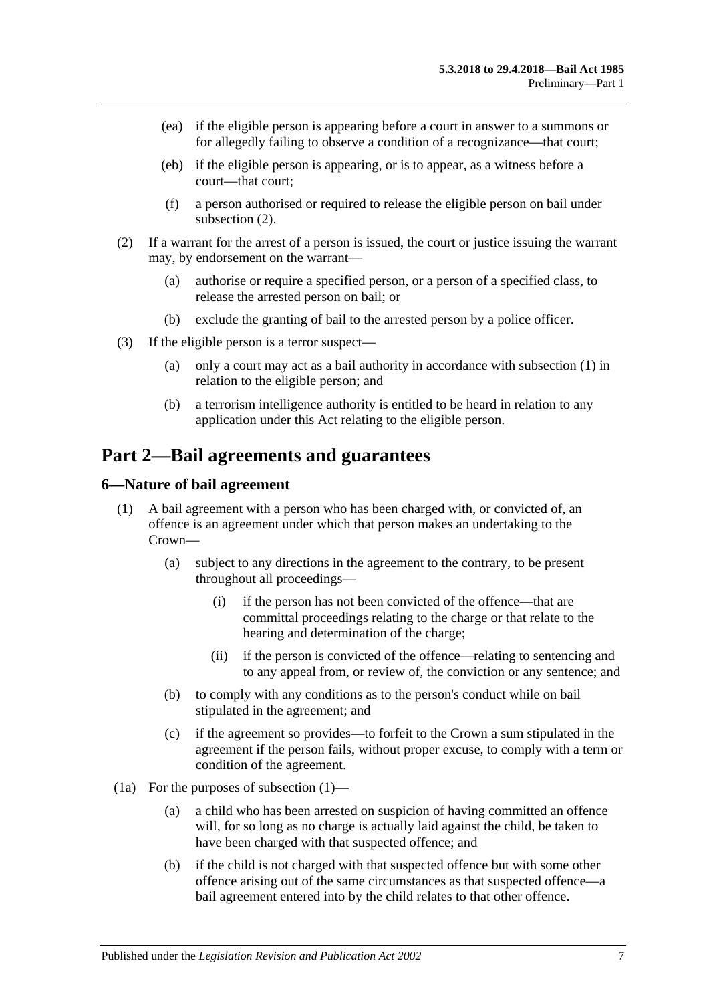- (ea) if the eligible person is appearing before a court in answer to a summons or for allegedly failing to observe a condition of a recognizance—that court;
- (eb) if the eligible person is appearing, or is to appear, as a witness before a court—that court;
- (f) a person authorised or required to release the eligible person on bail under [subsection](#page-6-3)  $(2)$ .
- <span id="page-6-3"></span>(2) If a warrant for the arrest of a person is issued, the court or justice issuing the warrant may, by endorsement on the warrant—
	- (a) authorise or require a specified person, or a person of a specified class, to release the arrested person on bail; or
	- (b) exclude the granting of bail to the arrested person by a police officer.
- <span id="page-6-2"></span>(3) If the eligible person is a terror suspect—
	- (a) only a court may act as a bail authority in accordance with [subsection](#page-5-3) (1) in relation to the eligible person; and
	- (b) a terrorism intelligence authority is entitled to be heard in relation to any application under this Act relating to the eligible person.

# <span id="page-6-0"></span>**Part 2—Bail agreements and guarantees**

#### <span id="page-6-4"></span><span id="page-6-1"></span>**6—Nature of bail agreement**

- (1) A bail agreement with a person who has been charged with, or convicted of, an offence is an agreement under which that person makes an undertaking to the Crown—
	- (a) subject to any directions in the agreement to the contrary, to be present throughout all proceedings—
		- (i) if the person has not been convicted of the offence—that are committal proceedings relating to the charge or that relate to the hearing and determination of the charge;
		- (ii) if the person is convicted of the offence—relating to sentencing and to any appeal from, or review of, the conviction or any sentence; and
	- (b) to comply with any conditions as to the person's conduct while on bail stipulated in the agreement; and
	- (c) if the agreement so provides—to forfeit to the Crown a sum stipulated in the agreement if the person fails, without proper excuse, to comply with a term or condition of the agreement.
- (1a) For the purposes of [subsection](#page-6-4) (1)—
	- (a) a child who has been arrested on suspicion of having committed an offence will, for so long as no charge is actually laid against the child, be taken to have been charged with that suspected offence; and
	- (b) if the child is not charged with that suspected offence but with some other offence arising out of the same circumstances as that suspected offence—a bail agreement entered into by the child relates to that other offence.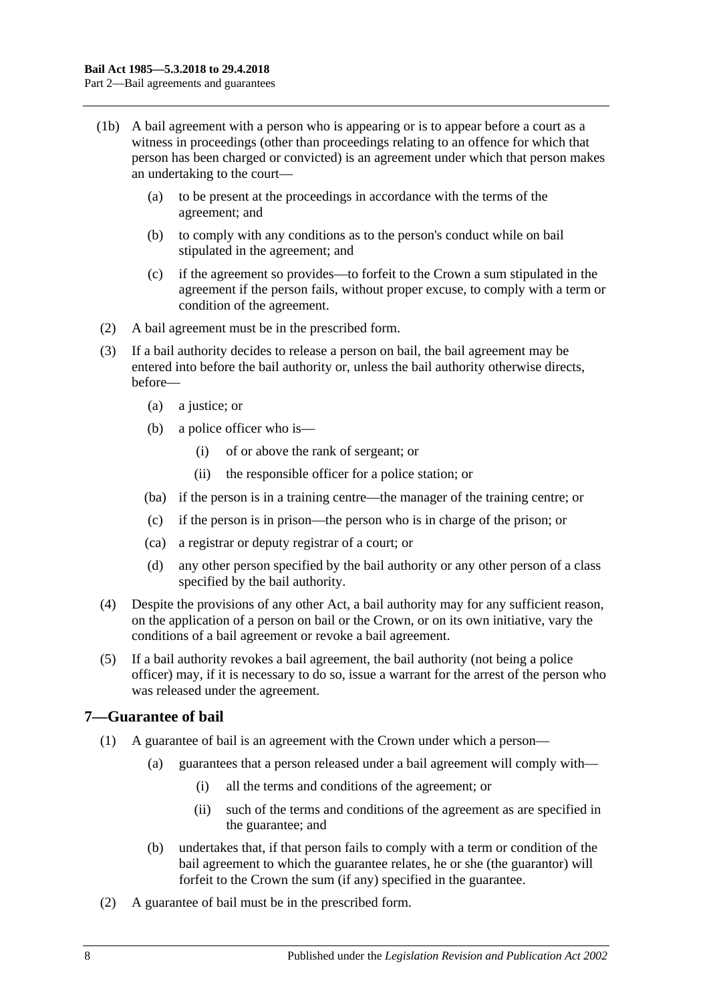- (1b) A bail agreement with a person who is appearing or is to appear before a court as a witness in proceedings (other than proceedings relating to an offence for which that person has been charged or convicted) is an agreement under which that person makes an undertaking to the court—
	- (a) to be present at the proceedings in accordance with the terms of the agreement; and
	- (b) to comply with any conditions as to the person's conduct while on bail stipulated in the agreement; and
	- (c) if the agreement so provides—to forfeit to the Crown a sum stipulated in the agreement if the person fails, without proper excuse, to comply with a term or condition of the agreement.
- (2) A bail agreement must be in the prescribed form.
- (3) If a bail authority decides to release a person on bail, the bail agreement may be entered into before the bail authority or, unless the bail authority otherwise directs, before—
	- (a) a justice; or
	- (b) a police officer who is—
		- (i) of or above the rank of sergeant; or
		- (ii) the responsible officer for a police station; or
	- (ba) if the person is in a training centre—the manager of the training centre; or
	- (c) if the person is in prison—the person who is in charge of the prison; or
	- (ca) a registrar or deputy registrar of a court; or
	- (d) any other person specified by the bail authority or any other person of a class specified by the bail authority.
- (4) Despite the provisions of any other Act, a bail authority may for any sufficient reason, on the application of a person on bail or the Crown, or on its own initiative, vary the conditions of a bail agreement or revoke a bail agreement.
- (5) If a bail authority revokes a bail agreement, the bail authority (not being a police officer) may, if it is necessary to do so, issue a warrant for the arrest of the person who was released under the agreement.

#### <span id="page-7-0"></span>**7—Guarantee of bail**

- (1) A guarantee of bail is an agreement with the Crown under which a person—
	- (a) guarantees that a person released under a bail agreement will comply with—
		- (i) all the terms and conditions of the agreement; or
		- (ii) such of the terms and conditions of the agreement as are specified in the guarantee; and
	- (b) undertakes that, if that person fails to comply with a term or condition of the bail agreement to which the guarantee relates, he or she (the guarantor) will forfeit to the Crown the sum (if any) specified in the guarantee.
- (2) A guarantee of bail must be in the prescribed form.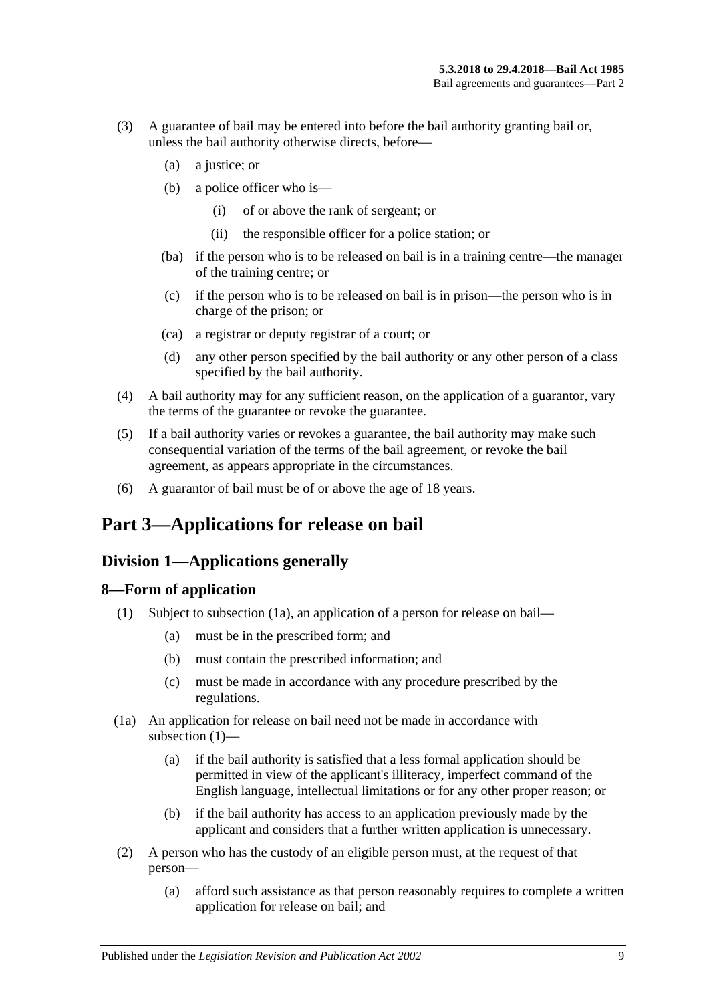- (3) A guarantee of bail may be entered into before the bail authority granting bail or, unless the bail authority otherwise directs, before—
	- (a) a justice; or
	- (b) a police officer who is—
		- (i) of or above the rank of sergeant; or
		- (ii) the responsible officer for a police station; or
	- (ba) if the person who is to be released on bail is in a training centre—the manager of the training centre; or
	- (c) if the person who is to be released on bail is in prison—the person who is in charge of the prison; or
	- (ca) a registrar or deputy registrar of a court; or
	- (d) any other person specified by the bail authority or any other person of a class specified by the bail authority.
- (4) A bail authority may for any sufficient reason, on the application of a guarantor, vary the terms of the guarantee or revoke the guarantee.
- (5) If a bail authority varies or revokes a guarantee, the bail authority may make such consequential variation of the terms of the bail agreement, or revoke the bail agreement, as appears appropriate in the circumstances.
- (6) A guarantor of bail must be of or above the age of 18 years.

# <span id="page-8-1"></span><span id="page-8-0"></span>**Part 3—Applications for release on bail**

### **Division 1—Applications generally**

#### <span id="page-8-4"></span><span id="page-8-2"></span>**8—Form of application**

- (1) Subject to [subsection](#page-8-3) (1a), an application of a person for release on bail—
	- (a) must be in the prescribed form; and
	- (b) must contain the prescribed information; and
	- (c) must be made in accordance with any procedure prescribed by the regulations.
- <span id="page-8-3"></span>(1a) An application for release on bail need not be made in accordance with [subsection](#page-8-4) (1)—
	- (a) if the bail authority is satisfied that a less formal application should be permitted in view of the applicant's illiteracy, imperfect command of the English language, intellectual limitations or for any other proper reason; or
	- (b) if the bail authority has access to an application previously made by the applicant and considers that a further written application is unnecessary.
- <span id="page-8-5"></span>(2) A person who has the custody of an eligible person must, at the request of that person—
	- (a) afford such assistance as that person reasonably requires to complete a written application for release on bail; and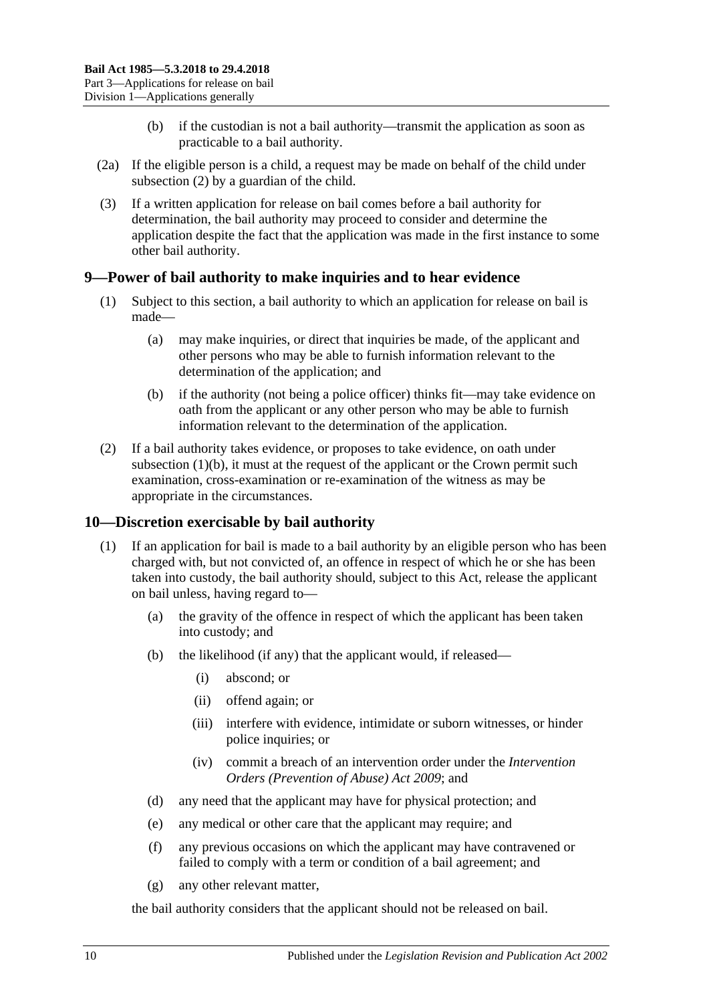- (b) if the custodian is not a bail authority—transmit the application as soon as practicable to a bail authority.
- (2a) If the eligible person is a child, a request may be made on behalf of the child under [subsection](#page-8-5) (2) by a guardian of the child.
- (3) If a written application for release on bail comes before a bail authority for determination, the bail authority may proceed to consider and determine the application despite the fact that the application was made in the first instance to some other bail authority.

### <span id="page-9-0"></span>**9—Power of bail authority to make inquiries and to hear evidence**

- (1) Subject to this section, a bail authority to which an application for release on bail is made—
	- (a) may make inquiries, or direct that inquiries be made, of the applicant and other persons who may be able to furnish information relevant to the determination of the application; and
	- (b) if the authority (not being a police officer) thinks fit—may take evidence on oath from the applicant or any other person who may be able to furnish information relevant to the determination of the application.
- <span id="page-9-2"></span>(2) If a bail authority takes evidence, or proposes to take evidence, on oath under [subsection](#page-9-2)  $(1)(b)$ , it must at the request of the applicant or the Crown permit such examination, cross-examination or re-examination of the witness as may be appropriate in the circumstances.

### <span id="page-9-1"></span>**10—Discretion exercisable by bail authority**

- (1) If an application for bail is made to a bail authority by an eligible person who has been charged with, but not convicted of, an offence in respect of which he or she has been taken into custody, the bail authority should, subject to this Act, release the applicant on bail unless, having regard to—
	- (a) the gravity of the offence in respect of which the applicant has been taken into custody; and
	- (b) the likelihood (if any) that the applicant would, if released—
		- (i) abscond; or
		- (ii) offend again; or
		- (iii) interfere with evidence, intimidate or suborn witnesses, or hinder police inquiries; or
		- (iv) commit a breach of an intervention order under the *[Intervention](http://www.legislation.sa.gov.au/index.aspx?action=legref&type=act&legtitle=Intervention%20Orders%20(Prevention%20of%20Abuse)%20Act%202009)  [Orders \(Prevention of Abuse\) Act](http://www.legislation.sa.gov.au/index.aspx?action=legref&type=act&legtitle=Intervention%20Orders%20(Prevention%20of%20Abuse)%20Act%202009) 2009*; and
	- (d) any need that the applicant may have for physical protection; and
	- (e) any medical or other care that the applicant may require; and
	- (f) any previous occasions on which the applicant may have contravened or failed to comply with a term or condition of a bail agreement; and
	- (g) any other relevant matter,

the bail authority considers that the applicant should not be released on bail.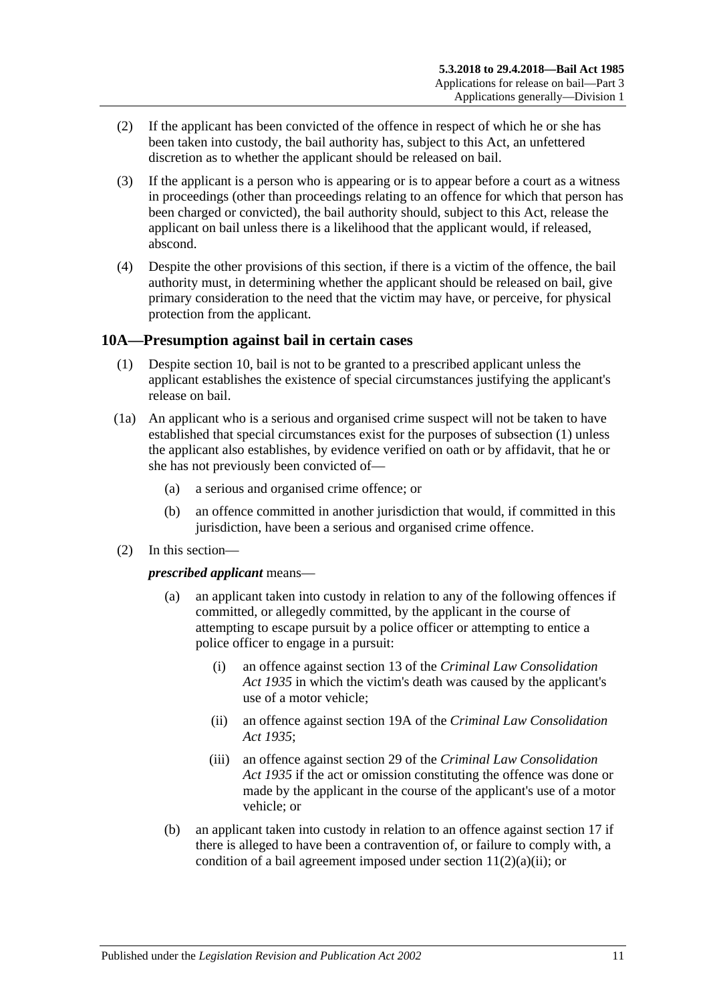- (2) If the applicant has been convicted of the offence in respect of which he or she has been taken into custody, the bail authority has, subject to this Act, an unfettered discretion as to whether the applicant should be released on bail.
- (3) If the applicant is a person who is appearing or is to appear before a court as a witness in proceedings (other than proceedings relating to an offence for which that person has been charged or convicted), the bail authority should, subject to this Act, release the applicant on bail unless there is a likelihood that the applicant would, if released, abscond.
- (4) Despite the other provisions of this section, if there is a victim of the offence, the bail authority must, in determining whether the applicant should be released on bail, give primary consideration to the need that the victim may have, or perceive, for physical protection from the applicant.

### <span id="page-10-1"></span><span id="page-10-0"></span>**10A—Presumption against bail in certain cases**

- (1) Despite [section](#page-9-1) 10, bail is not to be granted to a prescribed applicant unless the applicant establishes the existence of special circumstances justifying the applicant's release on bail.
- (1a) An applicant who is a serious and organised crime suspect will not be taken to have established that special circumstances exist for the purposes of [subsection](#page-10-1) (1) unless the applicant also establishes, by evidence verified on oath or by affidavit, that he or she has not previously been convicted of—
	- (a) a serious and organised crime offence; or
	- (b) an offence committed in another jurisdiction that would, if committed in this jurisdiction, have been a serious and organised crime offence.
- (2) In this section—

*prescribed applicant* means—

- (a) an applicant taken into custody in relation to any of the following offences if committed, or allegedly committed, by the applicant in the course of attempting to escape pursuit by a police officer or attempting to entice a police officer to engage in a pursuit:
	- (i) an offence against section 13 of the *[Criminal Law Consolidation](http://www.legislation.sa.gov.au/index.aspx?action=legref&type=act&legtitle=Criminal%20Law%20Consolidation%20Act%201935)  Act [1935](http://www.legislation.sa.gov.au/index.aspx?action=legref&type=act&legtitle=Criminal%20Law%20Consolidation%20Act%201935)* in which the victim's death was caused by the applicant's use of a motor vehicle;
	- (ii) an offence against section 19A of the *[Criminal Law Consolidation](http://www.legislation.sa.gov.au/index.aspx?action=legref&type=act&legtitle=Criminal%20Law%20Consolidation%20Act%201935)  Act [1935](http://www.legislation.sa.gov.au/index.aspx?action=legref&type=act&legtitle=Criminal%20Law%20Consolidation%20Act%201935)*;
	- (iii) an offence against section 29 of the *[Criminal Law Consolidation](http://www.legislation.sa.gov.au/index.aspx?action=legref&type=act&legtitle=Criminal%20Law%20Consolidation%20Act%201935)  Act [1935](http://www.legislation.sa.gov.au/index.aspx?action=legref&type=act&legtitle=Criminal%20Law%20Consolidation%20Act%201935)* if the act or omission constituting the offence was done or made by the applicant in the course of the applicant's use of a motor vehicle; or
- (b) an applicant taken into custody in relation to an offence against [section](#page-20-1) 17 if there is alleged to have been a contravention of, or failure to comply with, a condition of a bail agreement imposed under section  $11(2)(a)(ii)$ ; or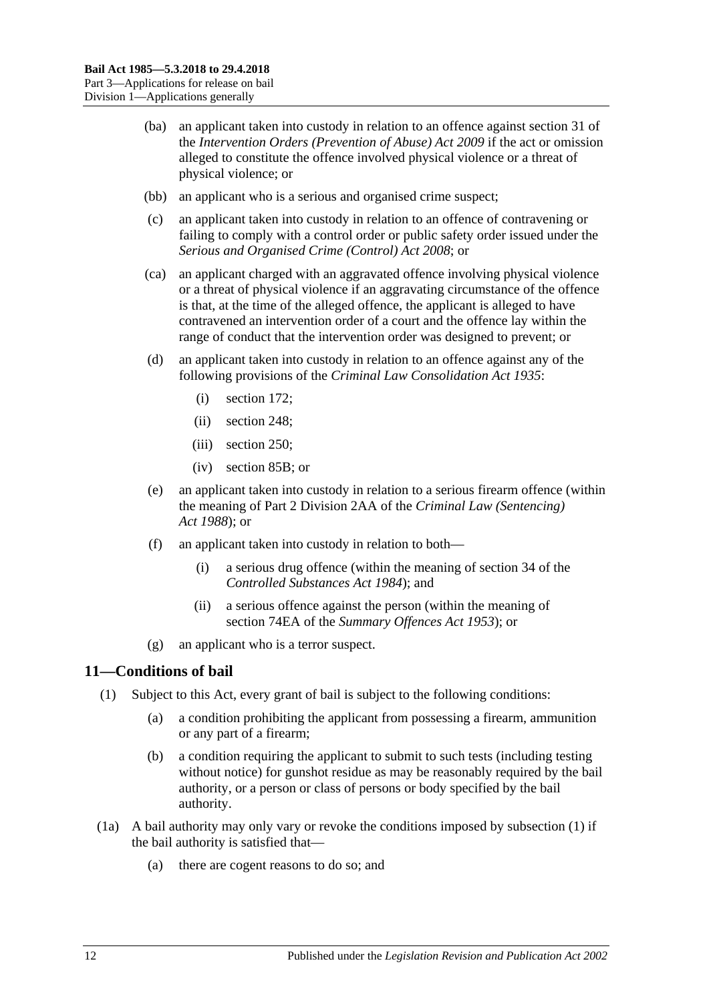- (ba) an applicant taken into custody in relation to an offence against section 31 of the *[Intervention Orders \(Prevention of Abuse\) Act](http://www.legislation.sa.gov.au/index.aspx?action=legref&type=act&legtitle=Intervention%20Orders%20(Prevention%20of%20Abuse)%20Act%202009) 2009* if the act or omission alleged to constitute the offence involved physical violence or a threat of physical violence; or
- (bb) an applicant who is a serious and organised crime suspect;
- (c) an applicant taken into custody in relation to an offence of contravening or failing to comply with a control order or public safety order issued under the *[Serious and Organised Crime \(Control\) Act](http://www.legislation.sa.gov.au/index.aspx?action=legref&type=act&legtitle=Serious%20and%20Organised%20Crime%20(Control)%20Act%202008) 2008*; or
- (ca) an applicant charged with an aggravated offence involving physical violence or a threat of physical violence if an aggravating circumstance of the offence is that, at the time of the alleged offence, the applicant is alleged to have contravened an intervention order of a court and the offence lay within the range of conduct that the intervention order was designed to prevent; or
- (d) an applicant taken into custody in relation to an offence against any of the following provisions of the *[Criminal Law Consolidation Act](http://www.legislation.sa.gov.au/index.aspx?action=legref&type=act&legtitle=Criminal%20Law%20Consolidation%20Act%201935) 1935*:
	- (i) section 172;
	- (ii) section 248;
	- (iii) section 250;
	- (iv) section 85B; or
- (e) an applicant taken into custody in relation to a serious firearm offence (within the meaning of Part 2 Division 2AA of the *[Criminal Law \(Sentencing\)](http://www.legislation.sa.gov.au/index.aspx?action=legref&type=act&legtitle=Criminal%20Law%20(Sentencing)%20Act%201988)  Act [1988](http://www.legislation.sa.gov.au/index.aspx?action=legref&type=act&legtitle=Criminal%20Law%20(Sentencing)%20Act%201988)*); or
- (f) an applicant taken into custody in relation to both—
	- (i) a serious drug offence (within the meaning of section 34 of the *[Controlled Substances Act](http://www.legislation.sa.gov.au/index.aspx?action=legref&type=act&legtitle=Controlled%20Substances%20Act%201984) 1984*); and
	- (ii) a serious offence against the person (within the meaning of section 74EA of the *[Summary Offences Act](http://www.legislation.sa.gov.au/index.aspx?action=legref&type=act&legtitle=Summary%20Offences%20Act%201953) 1953*); or
- (g) an applicant who is a terror suspect.

### <span id="page-11-1"></span><span id="page-11-0"></span>**11—Conditions of bail**

- <span id="page-11-3"></span>(1) Subject to this Act, every grant of bail is subject to the following conditions:
	- (a) a condition prohibiting the applicant from possessing a firearm, ammunition or any part of a firearm;
	- (b) a condition requiring the applicant to submit to such tests (including testing without notice) for gunshot residue as may be reasonably required by the bail authority, or a person or class of persons or body specified by the bail authority.
- <span id="page-11-2"></span>(1a) A bail authority may only vary or revoke the conditions imposed by [subsection](#page-11-1) (1) if the bail authority is satisfied that—
	- (a) there are cogent reasons to do so; and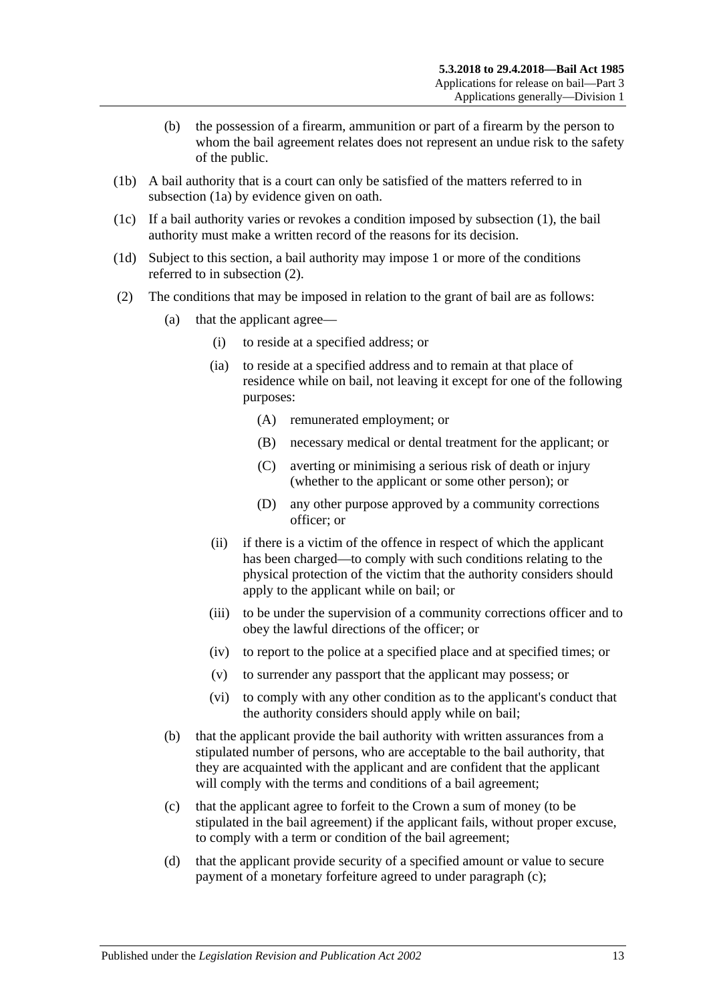- (b) the possession of a firearm, ammunition or part of a firearm by the person to whom the bail agreement relates does not represent an undue risk to the safety of the public.
- (1b) A bail authority that is a court can only be satisfied of the matters referred to in [subsection](#page-11-2) (1a) by evidence given on oath.
- (1c) If a bail authority varies or revokes a condition imposed by [subsection](#page-11-1) (1), the bail authority must make a written record of the reasons for its decision.
- (1d) Subject to this section, a bail authority may impose 1 or more of the conditions referred to in [subsection](#page-12-1) (2).
- <span id="page-12-4"></span><span id="page-12-3"></span><span id="page-12-2"></span><span id="page-12-1"></span><span id="page-12-0"></span>(2) The conditions that may be imposed in relation to the grant of bail are as follows:
	- (a) that the applicant agree—
		- (i) to reside at a specified address; or
		- (ia) to reside at a specified address and to remain at that place of residence while on bail, not leaving it except for one of the following purposes:
			- (A) remunerated employment; or
			- (B) necessary medical or dental treatment for the applicant; or
			- (C) averting or minimising a serious risk of death or injury (whether to the applicant or some other person); or
			- (D) any other purpose approved by a community corrections officer; or
		- (ii) if there is a victim of the offence in respect of which the applicant has been charged—to comply with such conditions relating to the physical protection of the victim that the authority considers should apply to the applicant while on bail; or
		- (iii) to be under the supervision of a community corrections officer and to obey the lawful directions of the officer; or
		- (iv) to report to the police at a specified place and at specified times; or
		- (v) to surrender any passport that the applicant may possess; or
		- (vi) to comply with any other condition as to the applicant's conduct that the authority considers should apply while on bail;
	- (b) that the applicant provide the bail authority with written assurances from a stipulated number of persons, who are acceptable to the bail authority, that they are acquainted with the applicant and are confident that the applicant will comply with the terms and conditions of a bail agreement;
	- (c) that the applicant agree to forfeit to the Crown a sum of money (to be stipulated in the bail agreement) if the applicant fails, without proper excuse, to comply with a term or condition of the bail agreement;
	- (d) that the applicant provide security of a specified amount or value to secure payment of a monetary forfeiture agreed to under [paragraph](#page-12-2) (c);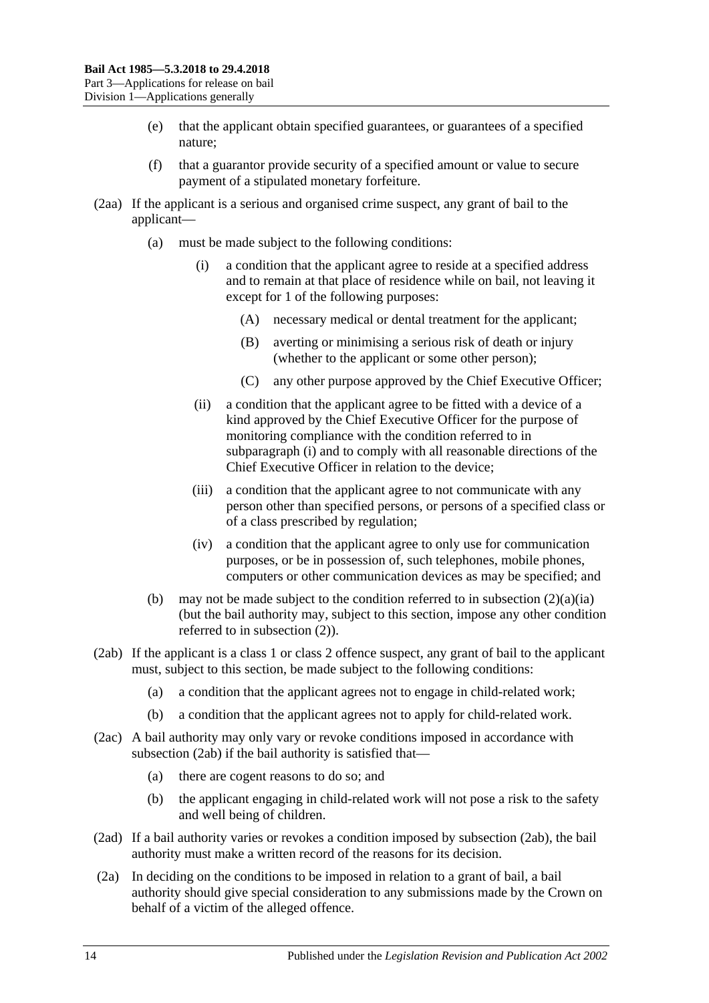- (e) that the applicant obtain specified guarantees, or guarantees of a specified nature;
- (f) that a guarantor provide security of a specified amount or value to secure payment of a stipulated monetary forfeiture.
- <span id="page-13-0"></span>(2aa) If the applicant is a serious and organised crime suspect, any grant of bail to the applicant—
	- (a) must be made subject to the following conditions:
		- (i) a condition that the applicant agree to reside at a specified address and to remain at that place of residence while on bail, not leaving it except for 1 of the following purposes:
			- (A) necessary medical or dental treatment for the applicant;
			- (B) averting or minimising a serious risk of death or injury (whether to the applicant or some other person);
			- (C) any other purpose approved by the Chief Executive Officer;
		- (ii) a condition that the applicant agree to be fitted with a device of a kind approved by the Chief Executive Officer for the purpose of monitoring compliance with the condition referred to in [subparagraph](#page-13-0) (i) and to comply with all reasonable directions of the Chief Executive Officer in relation to the device;
		- (iii) a condition that the applicant agree to not communicate with any person other than specified persons, or persons of a specified class or of a class prescribed by regulation;
		- (iv) a condition that the applicant agree to only use for communication purposes, or be in possession of, such telephones, mobile phones, computers or other communication devices as may be specified; and
	- (b) may not be made subject to the condition referred to in [subsection](#page-12-3)  $(2)(a)(ia)$ (but the bail authority may, subject to this section, impose any other condition referred to in [subsection](#page-12-1) (2)).
- <span id="page-13-1"></span>(2ab) If the applicant is a class 1 or class 2 offence suspect, any grant of bail to the applicant must, subject to this section, be made subject to the following conditions:
	- (a) a condition that the applicant agrees not to engage in child-related work;
	- (b) a condition that the applicant agrees not to apply for child-related work.
- (2ac) A bail authority may only vary or revoke conditions imposed in accordance with [subsection](#page-13-1) (2ab) if the bail authority is satisfied that—
	- (a) there are cogent reasons to do so; and
	- (b) the applicant engaging in child-related work will not pose a risk to the safety and well being of children.
- (2ad) If a bail authority varies or revokes a condition imposed by [subsection](#page-13-1) (2ab), the bail authority must make a written record of the reasons for its decision.
- (2a) In deciding on the conditions to be imposed in relation to a grant of bail, a bail authority should give special consideration to any submissions made by the Crown on behalf of a victim of the alleged offence.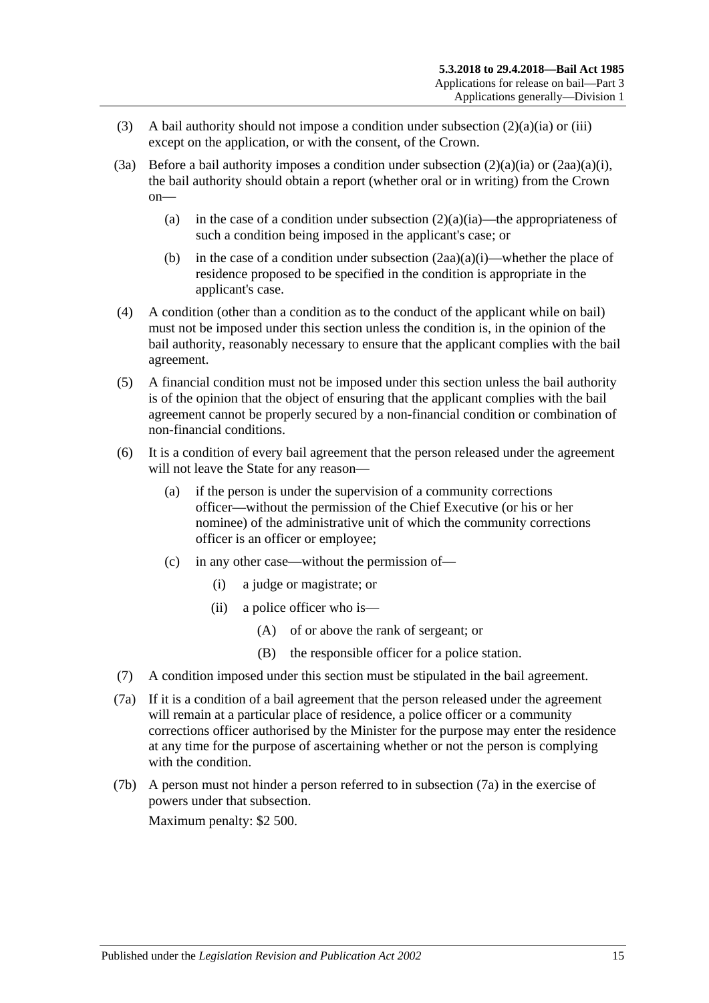- (3) A bail authority should not impose a condition under [subsection](#page-12-3)  $(2)(a)(ia)$  or [\(iii\)](#page-12-4) except on the application, or with the consent, of the Crown.
- (3a) Before a bail authority imposes a condition under [subsection](#page-12-3)  $(2)(a)(ia)$  or  $(2aa)(a)(i)$ , the bail authority should obtain a report (whether oral or in writing) from the Crown on
	- (a) in the case of a condition under [subsection](#page-12-3)  $(2)(a)(ia)$ —the appropriateness of such a condition being imposed in the applicant's case; or
	- (b) in the case of a condition under [subsection](#page-13-0)  $(2aa)(a)(i)$ —whether the place of residence proposed to be specified in the condition is appropriate in the applicant's case.
- (4) A condition (other than a condition as to the conduct of the applicant while on bail) must not be imposed under this section unless the condition is, in the opinion of the bail authority, reasonably necessary to ensure that the applicant complies with the bail agreement.
- (5) A financial condition must not be imposed under this section unless the bail authority is of the opinion that the object of ensuring that the applicant complies with the bail agreement cannot be properly secured by a non-financial condition or combination of non-financial conditions.
- (6) It is a condition of every bail agreement that the person released under the agreement will not leave the State for any reason—
	- (a) if the person is under the supervision of a community corrections officer—without the permission of the Chief Executive (or his or her nominee) of the administrative unit of which the community corrections officer is an officer or employee;
	- (c) in any other case—without the permission of—
		- (i) a judge or magistrate; or
		- (ii) a police officer who is—
			- (A) of or above the rank of sergeant; or
			- (B) the responsible officer for a police station.
- (7) A condition imposed under this section must be stipulated in the bail agreement.
- <span id="page-14-0"></span>(7a) If it is a condition of a bail agreement that the person released under the agreement will remain at a particular place of residence, a police officer or a community corrections officer authorised by the Minister for the purpose may enter the residence at any time for the purpose of ascertaining whether or not the person is complying with the condition.
- (7b) A person must not hinder a person referred to in [subsection](#page-14-0) (7a) in the exercise of powers under that subsection.

Maximum penalty: \$2 500.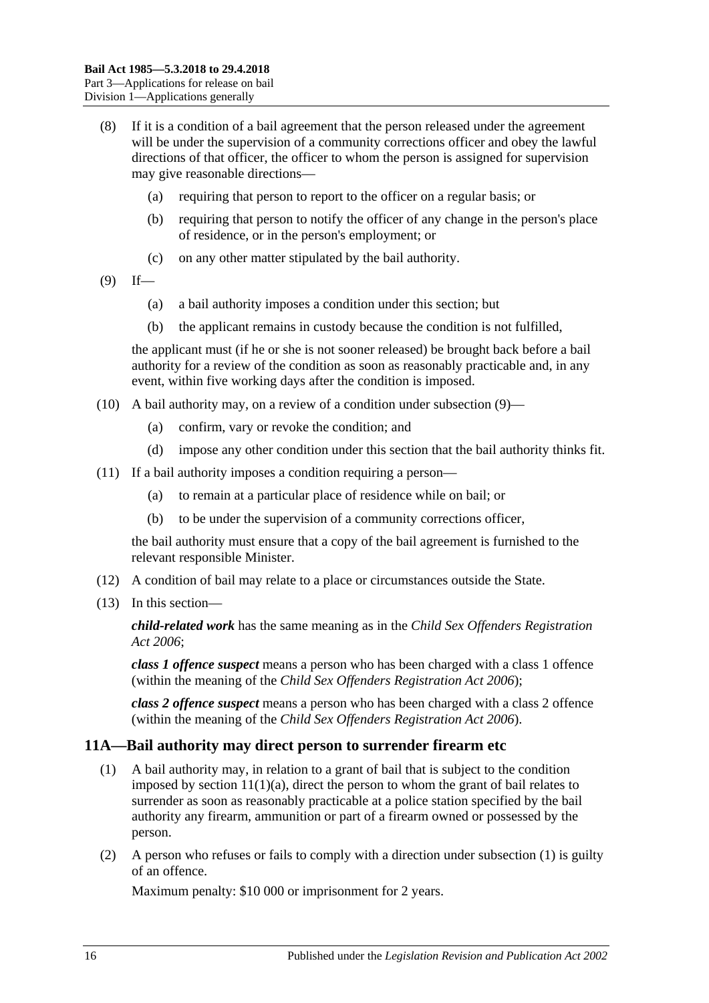- (8) If it is a condition of a bail agreement that the person released under the agreement will be under the supervision of a community corrections officer and obey the lawful directions of that officer, the officer to whom the person is assigned for supervision may give reasonable directions—
	- (a) requiring that person to report to the officer on a regular basis; or
	- (b) requiring that person to notify the officer of any change in the person's place of residence, or in the person's employment; or
	- (c) on any other matter stipulated by the bail authority.
- <span id="page-15-1"></span> $(9)$  If—
	- (a) a bail authority imposes a condition under this section; but
	- (b) the applicant remains in custody because the condition is not fulfilled,

the applicant must (if he or she is not sooner released) be brought back before a bail authority for a review of the condition as soon as reasonably practicable and, in any event, within five working days after the condition is imposed.

- (10) A bail authority may, on a review of a condition under [subsection](#page-15-1) (9)—
	- (a) confirm, vary or revoke the condition; and
	- (d) impose any other condition under this section that the bail authority thinks fit.
- (11) If a bail authority imposes a condition requiring a person—
	- (a) to remain at a particular place of residence while on bail; or
	- (b) to be under the supervision of a community corrections officer,

the bail authority must ensure that a copy of the bail agreement is furnished to the relevant responsible Minister.

- (12) A condition of bail may relate to a place or circumstances outside the State.
- (13) In this section—

*child-related work* has the same meaning as in the *[Child Sex Offenders Registration](http://www.legislation.sa.gov.au/index.aspx?action=legref&type=act&legtitle=Child%20Sex%20Offenders%20Registration%20Act%202006)  Act [2006](http://www.legislation.sa.gov.au/index.aspx?action=legref&type=act&legtitle=Child%20Sex%20Offenders%20Registration%20Act%202006)*;

*class 1 offence suspect* means a person who has been charged with a class 1 offence (within the meaning of the *[Child Sex Offenders Registration Act](http://www.legislation.sa.gov.au/index.aspx?action=legref&type=act&legtitle=Child%20Sex%20Offenders%20Registration%20Act%202006) 2006*);

*class 2 offence suspect* means a person who has been charged with a class 2 offence (within the meaning of the *[Child Sex Offenders Registration Act](http://www.legislation.sa.gov.au/index.aspx?action=legref&type=act&legtitle=Child%20Sex%20Offenders%20Registration%20Act%202006) 2006*).

### <span id="page-15-2"></span><span id="page-15-0"></span>**11A—Bail authority may direct person to surrender firearm etc**

- (1) A bail authority may, in relation to a grant of bail that is subject to the condition imposed by section  $11(1)(a)$ , direct the person to whom the grant of bail relates to surrender as soon as reasonably practicable at a police station specified by the bail authority any firearm, ammunition or part of a firearm owned or possessed by the person.
- (2) A person who refuses or fails to comply with a direction under [subsection](#page-15-2) (1) is guilty of an offence.

Maximum penalty: \$10 000 or imprisonment for 2 years.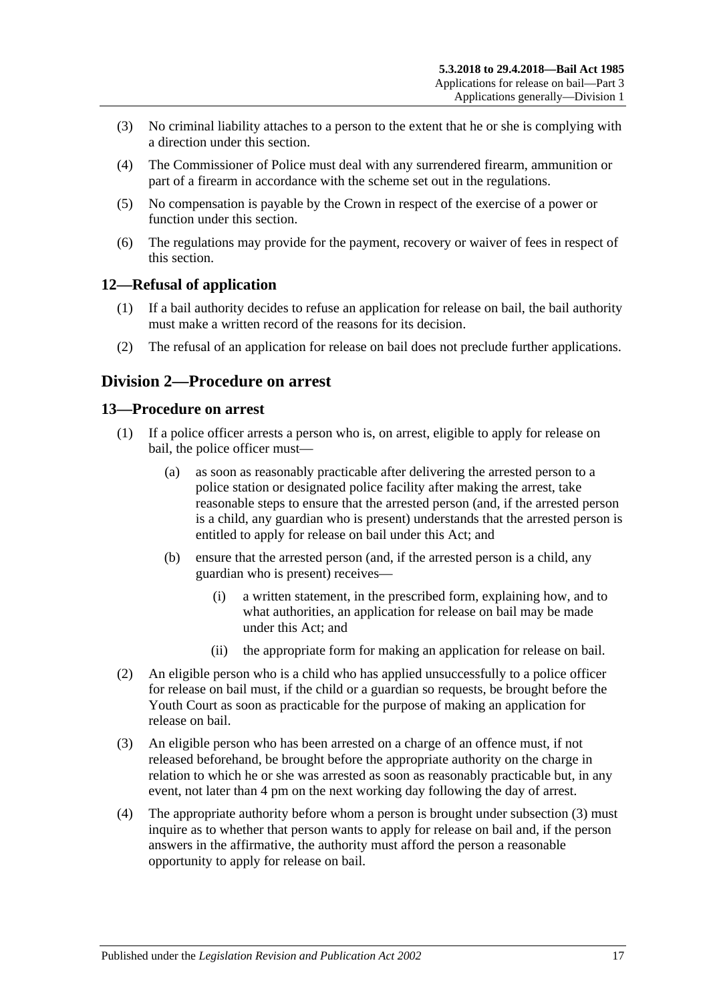- (3) No criminal liability attaches to a person to the extent that he or she is complying with a direction under this section.
- (4) The Commissioner of Police must deal with any surrendered firearm, ammunition or part of a firearm in accordance with the scheme set out in the regulations.
- (5) No compensation is payable by the Crown in respect of the exercise of a power or function under this section.
- (6) The regulations may provide for the payment, recovery or waiver of fees in respect of this section.

### <span id="page-16-0"></span>**12—Refusal of application**

- (1) If a bail authority decides to refuse an application for release on bail, the bail authority must make a written record of the reasons for its decision.
- (2) The refusal of an application for release on bail does not preclude further applications.

### <span id="page-16-1"></span>**Division 2—Procedure on arrest**

### <span id="page-16-2"></span>**13—Procedure on arrest**

- (1) If a police officer arrests a person who is, on arrest, eligible to apply for release on bail, the police officer must—
	- (a) as soon as reasonably practicable after delivering the arrested person to a police station or designated police facility after making the arrest, take reasonable steps to ensure that the arrested person (and, if the arrested person is a child, any guardian who is present) understands that the arrested person is entitled to apply for release on bail under this Act; and
	- (b) ensure that the arrested person (and, if the arrested person is a child, any guardian who is present) receives—
		- (i) a written statement, in the prescribed form, explaining how, and to what authorities, an application for release on bail may be made under this Act; and
		- (ii) the appropriate form for making an application for release on bail.
- (2) An eligible person who is a child who has applied unsuccessfully to a police officer for release on bail must, if the child or a guardian so requests, be brought before the Youth Court as soon as practicable for the purpose of making an application for release on bail.
- <span id="page-16-3"></span>(3) An eligible person who has been arrested on a charge of an offence must, if not released beforehand, be brought before the appropriate authority on the charge in relation to which he or she was arrested as soon as reasonably practicable but, in any event, not later than 4 pm on the next working day following the day of arrest.
- (4) The appropriate authority before whom a person is brought under [subsection](#page-16-3) (3) must inquire as to whether that person wants to apply for release on bail and, if the person answers in the affirmative, the authority must afford the person a reasonable opportunity to apply for release on bail.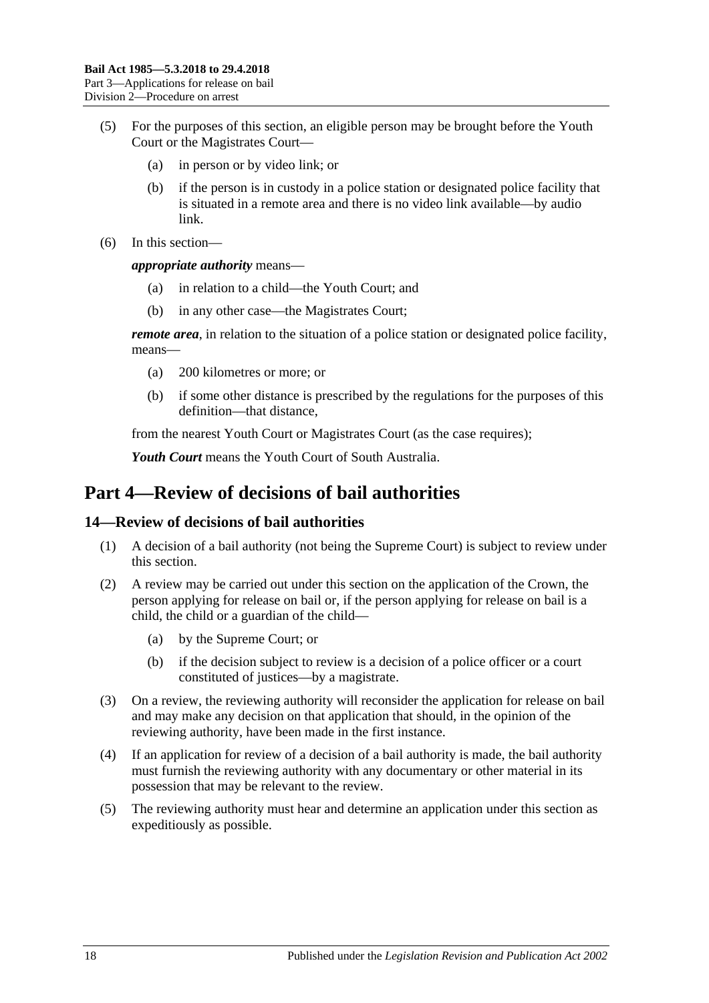- (5) For the purposes of this section, an eligible person may be brought before the Youth Court or the Magistrates Court—
	- (a) in person or by video link; or
	- (b) if the person is in custody in a police station or designated police facility that is situated in a remote area and there is no video link available—by audio link.
- (6) In this section—

*appropriate authority* means—

- (a) in relation to a child—the Youth Court; and
- (b) in any other case—the Magistrates Court;

*remote area*, in relation to the situation of a police station or designated police facility, means—

- (a) 200 kilometres or more; or
- (b) if some other distance is prescribed by the regulations for the purposes of this definition—that distance,

from the nearest Youth Court or Magistrates Court (as the case requires);

*Youth Court* means the Youth Court of South Australia.

## <span id="page-17-0"></span>**Part 4—Review of decisions of bail authorities**

#### <span id="page-17-1"></span>**14—Review of decisions of bail authorities**

- (1) A decision of a bail authority (not being the Supreme Court) is subject to review under this section.
- (2) A review may be carried out under this section on the application of the Crown, the person applying for release on bail or, if the person applying for release on bail is a child, the child or a guardian of the child—
	- (a) by the Supreme Court; or
	- (b) if the decision subject to review is a decision of a police officer or a court constituted of justices—by a magistrate.
- (3) On a review, the reviewing authority will reconsider the application for release on bail and may make any decision on that application that should, in the opinion of the reviewing authority, have been made in the first instance.
- (4) If an application for review of a decision of a bail authority is made, the bail authority must furnish the reviewing authority with any documentary or other material in its possession that may be relevant to the review.
- (5) The reviewing authority must hear and determine an application under this section as expeditiously as possible.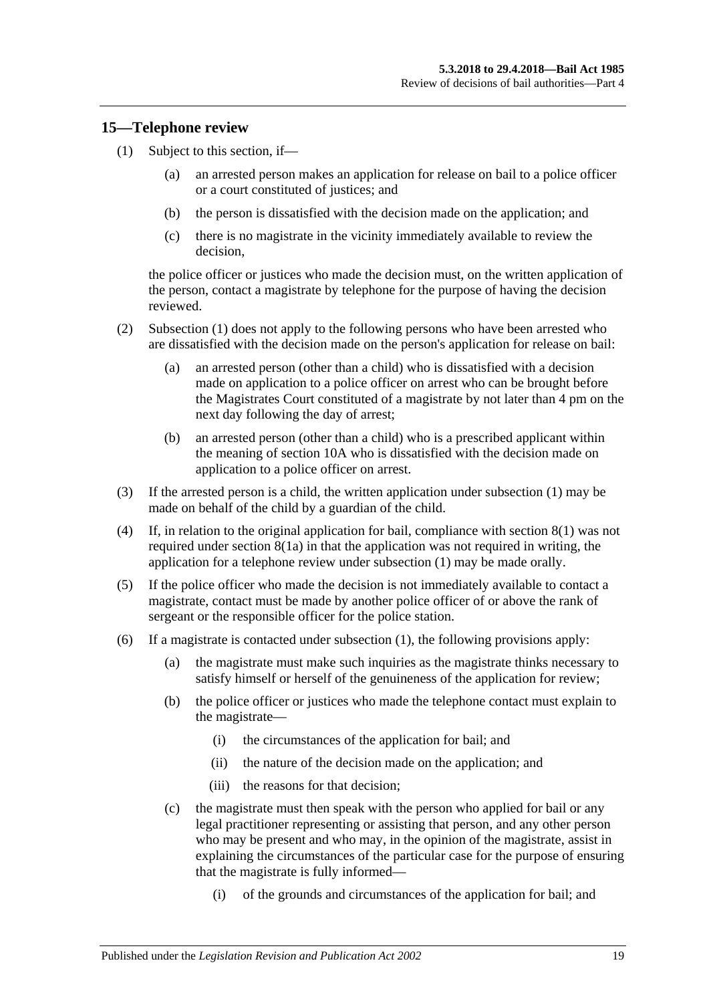#### <span id="page-18-1"></span><span id="page-18-0"></span>**15—Telephone review**

- (1) Subject to this section, if—
	- (a) an arrested person makes an application for release on bail to a police officer or a court constituted of justices; and
	- (b) the person is dissatisfied with the decision made on the application; and
	- (c) there is no magistrate in the vicinity immediately available to review the decision,

the police officer or justices who made the decision must, on the written application of the person, contact a magistrate by telephone for the purpose of having the decision reviewed.

- (2) [Subsection](#page-18-1) (1) does not apply to the following persons who have been arrested who are dissatisfied with the decision made on the person's application for release on bail:
	- (a) an arrested person (other than a child) who is dissatisfied with a decision made on application to a police officer on arrest who can be brought before the Magistrates Court constituted of a magistrate by not later than 4 pm on the next day following the day of arrest;
	- (b) an arrested person (other than a child) who is a prescribed applicant within the meaning of [section](#page-10-0) 10A who is dissatisfied with the decision made on application to a police officer on arrest.
- (3) If the arrested person is a child, the written application under [subsection](#page-18-1) (1) may be made on behalf of the child by a guardian of the child.
- (4) If, in relation to the original application for bail, compliance with [section](#page-8-4) 8(1) was not required under [section](#page-8-3) 8(1a) in that the application was not required in writing, the application for a telephone review under [subsection](#page-18-1) (1) may be made orally.
- (5) If the police officer who made the decision is not immediately available to contact a magistrate, contact must be made by another police officer of or above the rank of sergeant or the responsible officer for the police station.
- (6) If a magistrate is contacted under [subsection](#page-18-1) (1), the following provisions apply:
	- (a) the magistrate must make such inquiries as the magistrate thinks necessary to satisfy himself or herself of the genuineness of the application for review;
	- (b) the police officer or justices who made the telephone contact must explain to the magistrate—
		- (i) the circumstances of the application for bail; and
		- (ii) the nature of the decision made on the application; and
		- (iii) the reasons for that decision;
	- (c) the magistrate must then speak with the person who applied for bail or any legal practitioner representing or assisting that person, and any other person who may be present and who may, in the opinion of the magistrate, assist in explaining the circumstances of the particular case for the purpose of ensuring that the magistrate is fully informed—
		- (i) of the grounds and circumstances of the application for bail; and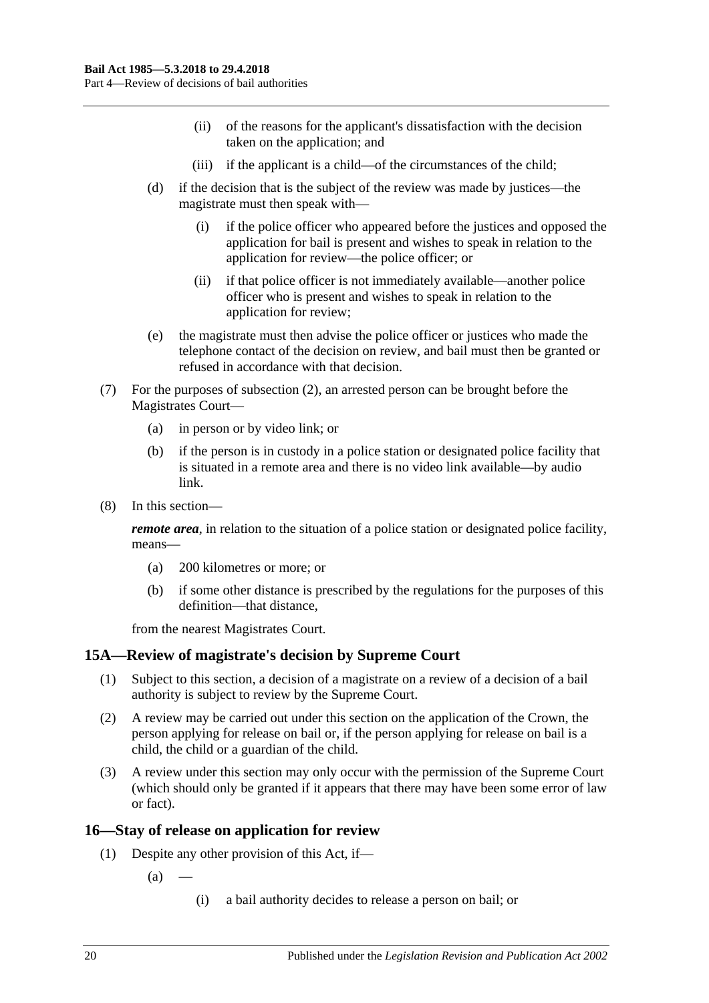- (ii) of the reasons for the applicant's dissatisfaction with the decision taken on the application; and
- (iii) if the applicant is a child—of the circumstances of the child;
- (d) if the decision that is the subject of the review was made by justices—the magistrate must then speak with—
	- (i) if the police officer who appeared before the justices and opposed the application for bail is present and wishes to speak in relation to the application for review—the police officer; or
	- (ii) if that police officer is not immediately available—another police officer who is present and wishes to speak in relation to the application for review;
- (e) the magistrate must then advise the police officer or justices who made the telephone contact of the decision on review, and bail must then be granted or refused in accordance with that decision.
- (7) For the purposes of subsection (2), an arrested person can be brought before the Magistrates Court—
	- (a) in person or by video link; or
	- (b) if the person is in custody in a police station or designated police facility that is situated in a remote area and there is no video link available—by audio link.
- (8) In this section—

*remote area*, in relation to the situation of a police station or designated police facility, means—

- (a) 200 kilometres or more; or
- (b) if some other distance is prescribed by the regulations for the purposes of this definition—that distance,

from the nearest Magistrates Court.

### <span id="page-19-0"></span>**15A—Review of magistrate's decision by Supreme Court**

- (1) Subject to this section, a decision of a magistrate on a review of a decision of a bail authority is subject to review by the Supreme Court.
- (2) A review may be carried out under this section on the application of the Crown, the person applying for release on bail or, if the person applying for release on bail is a child, the child or a guardian of the child.
- (3) A review under this section may only occur with the permission of the Supreme Court (which should only be granted if it appears that there may have been some error of law or fact).

### <span id="page-19-1"></span>**16—Stay of release on application for review**

- (1) Despite any other provision of this Act, if—
	- $(a)$ 
		- (i) a bail authority decides to release a person on bail; or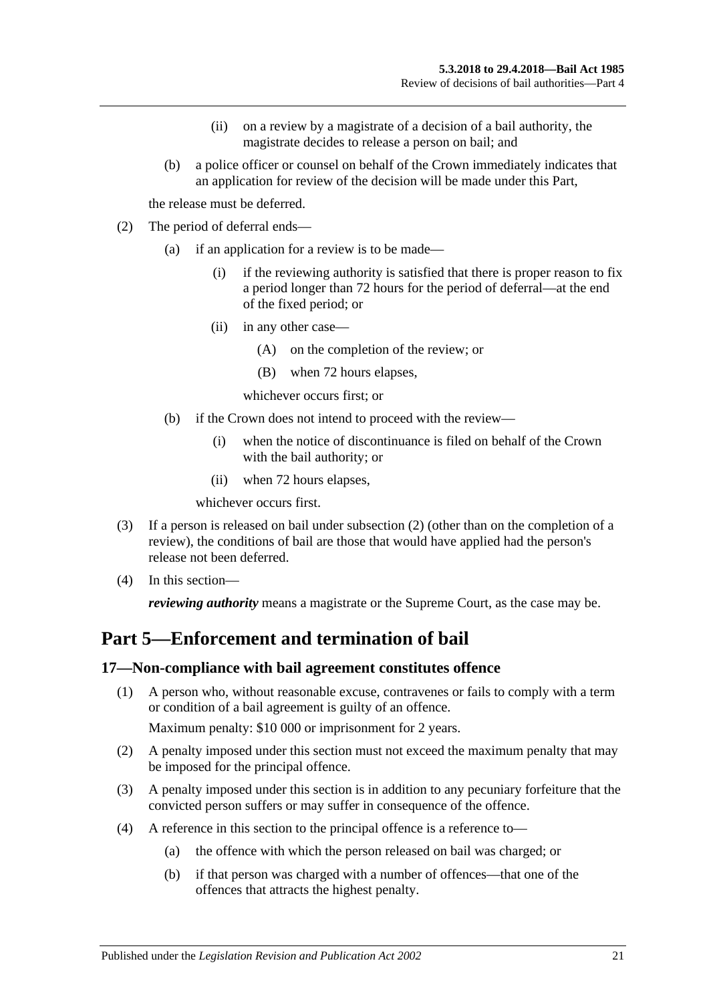- (ii) on a review by a magistrate of a decision of a bail authority, the magistrate decides to release a person on bail; and
- (b) a police officer or counsel on behalf of the Crown immediately indicates that an application for review of the decision will be made under this Part,

the release must be deferred.

- <span id="page-20-2"></span>(2) The period of deferral ends—
	- (a) if an application for a review is to be made—
		- (i) if the reviewing authority is satisfied that there is proper reason to fix a period longer than 72 hours for the period of deferral—at the end of the fixed period; or
		- (ii) in any other case—
			- (A) on the completion of the review; or
			- (B) when 72 hours elapses,

whichever occurs first; or

- (b) if the Crown does not intend to proceed with the review—
	- (i) when the notice of discontinuance is filed on behalf of the Crown with the bail authority; or
	- (ii) when 72 hours elapses,

whichever occurs first.

- (3) If a person is released on bail under [subsection](#page-20-2) (2) (other than on the completion of a review), the conditions of bail are those that would have applied had the person's release not been deferred.
- (4) In this section—

*reviewing authority* means a magistrate or the Supreme Court, as the case may be.

# <span id="page-20-0"></span>**Part 5—Enforcement and termination of bail**

#### <span id="page-20-1"></span>**17—Non-compliance with bail agreement constitutes offence**

(1) A person who, without reasonable excuse, contravenes or fails to comply with a term or condition of a bail agreement is guilty of an offence.

Maximum penalty: \$10 000 or imprisonment for 2 years.

- (2) A penalty imposed under this section must not exceed the maximum penalty that may be imposed for the principal offence.
- (3) A penalty imposed under this section is in addition to any pecuniary forfeiture that the convicted person suffers or may suffer in consequence of the offence.
- (4) A reference in this section to the principal offence is a reference to—
	- (a) the offence with which the person released on bail was charged; or
	- (b) if that person was charged with a number of offences—that one of the offences that attracts the highest penalty.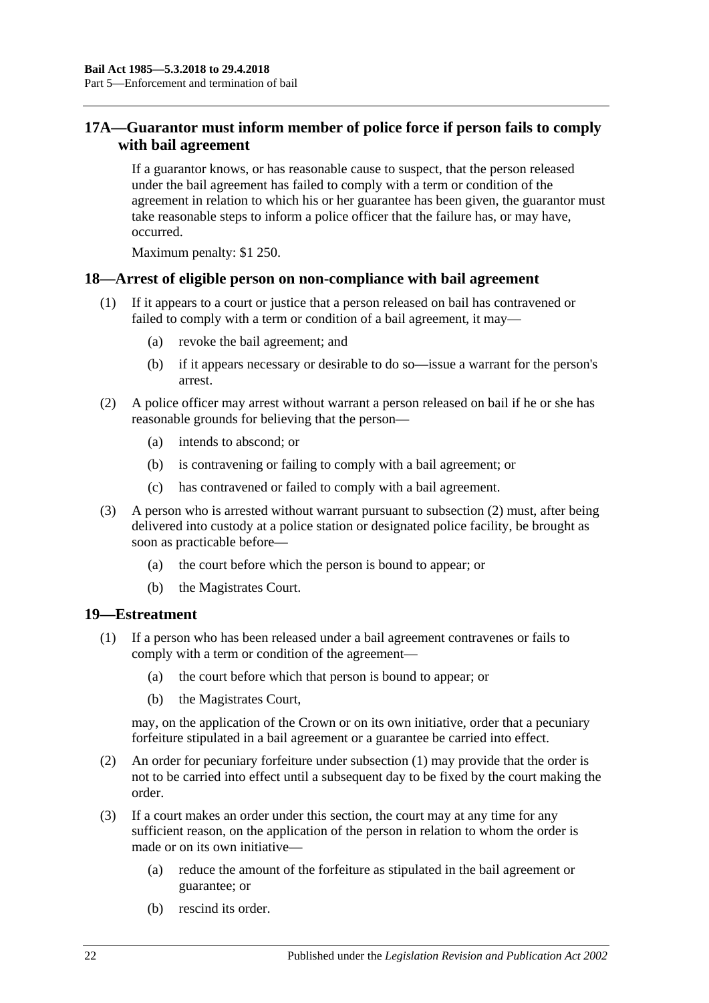### <span id="page-21-0"></span>**17A—Guarantor must inform member of police force if person fails to comply with bail agreement**

If a guarantor knows, or has reasonable cause to suspect, that the person released under the bail agreement has failed to comply with a term or condition of the agreement in relation to which his or her guarantee has been given, the guarantor must take reasonable steps to inform a police officer that the failure has, or may have, occurred.

Maximum penalty: \$1 250.

#### <span id="page-21-1"></span>**18—Arrest of eligible person on non-compliance with bail agreement**

- (1) If it appears to a court or justice that a person released on bail has contravened or failed to comply with a term or condition of a bail agreement, it may—
	- (a) revoke the bail agreement; and
	- (b) if it appears necessary or desirable to do so—issue a warrant for the person's arrest.
- <span id="page-21-3"></span>(2) A police officer may arrest without warrant a person released on bail if he or she has reasonable grounds for believing that the person—
	- (a) intends to abscond; or
	- (b) is contravening or failing to comply with a bail agreement; or
	- (c) has contravened or failed to comply with a bail agreement.
- (3) A person who is arrested without warrant pursuant to [subsection](#page-21-3) (2) must, after being delivered into custody at a police station or designated police facility, be brought as soon as practicable before—
	- (a) the court before which the person is bound to appear; or
	- (b) the Magistrates Court.

#### <span id="page-21-4"></span><span id="page-21-2"></span>**19—Estreatment**

- (1) If a person who has been released under a bail agreement contravenes or fails to comply with a term or condition of the agreement—
	- (a) the court before which that person is bound to appear; or
	- (b) the Magistrates Court,

may, on the application of the Crown or on its own initiative, order that a pecuniary forfeiture stipulated in a bail agreement or a guarantee be carried into effect.

- (2) An order for pecuniary forfeiture under [subsection](#page-21-4) (1) may provide that the order is not to be carried into effect until a subsequent day to be fixed by the court making the order.
- (3) If a court makes an order under this section, the court may at any time for any sufficient reason, on the application of the person in relation to whom the order is made or on its own initiative—
	- (a) reduce the amount of the forfeiture as stipulated in the bail agreement or guarantee; or
	- (b) rescind its order.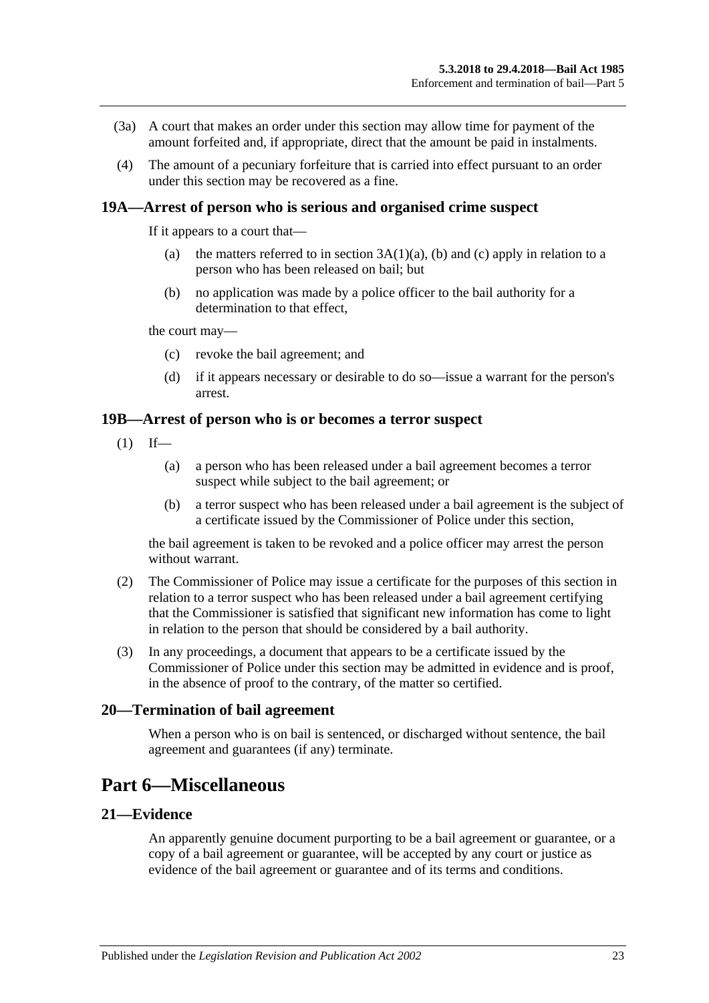- (3a) A court that makes an order under this section may allow time for payment of the amount forfeited and, if appropriate, direct that the amount be paid in instalments.
- (4) The amount of a pecuniary forfeiture that is carried into effect pursuant to an order under this section may be recovered as a fine.

#### <span id="page-22-0"></span>**19A—Arrest of person who is serious and organised crime suspect**

If it appears to a court that—

- (a) the matters referred to in section  $3A(1)(a)$ , [\(b\)](#page-3-3) and [\(c\)](#page-3-4) apply in relation to a person who has been released on bail; but
- (b) no application was made by a police officer to the bail authority for a determination to that effect,

the court may—

- (c) revoke the bail agreement; and
- (d) if it appears necessary or desirable to do so—issue a warrant for the person's arrest.

#### <span id="page-22-1"></span>**19B—Arrest of person who is or becomes a terror suspect**

- $(1)$  If—
	- (a) a person who has been released under a bail agreement becomes a terror suspect while subject to the bail agreement; or
	- (b) a terror suspect who has been released under a bail agreement is the subject of a certificate issued by the Commissioner of Police under this section,

the bail agreement is taken to be revoked and a police officer may arrest the person without warrant.

- (2) The Commissioner of Police may issue a certificate for the purposes of this section in relation to a terror suspect who has been released under a bail agreement certifying that the Commissioner is satisfied that significant new information has come to light in relation to the person that should be considered by a bail authority.
- (3) In any proceedings, a document that appears to be a certificate issued by the Commissioner of Police under this section may be admitted in evidence and is proof, in the absence of proof to the contrary, of the matter so certified.

#### <span id="page-22-2"></span>**20—Termination of bail agreement**

When a person who is on bail is sentenced, or discharged without sentence, the bail agreement and guarantees (if any) terminate.

# <span id="page-22-3"></span>**Part 6—Miscellaneous**

### <span id="page-22-4"></span>**21—Evidence**

An apparently genuine document purporting to be a bail agreement or guarantee, or a copy of a bail agreement or guarantee, will be accepted by any court or justice as evidence of the bail agreement or guarantee and of its terms and conditions.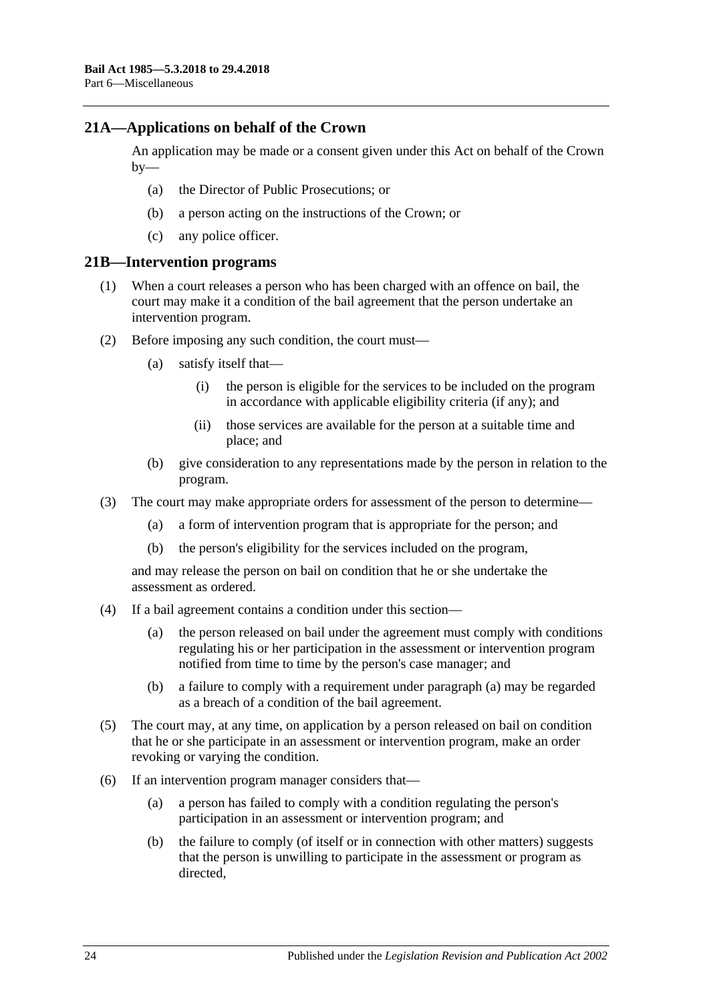### <span id="page-23-0"></span>**21A—Applications on behalf of the Crown**

An application may be made or a consent given under this Act on behalf of the Crown  $by-$ 

- (a) the Director of Public Prosecutions; or
- (b) a person acting on the instructions of the Crown; or
- (c) any police officer.

#### <span id="page-23-1"></span>**21B—Intervention programs**

- (1) When a court releases a person who has been charged with an offence on bail, the court may make it a condition of the bail agreement that the person undertake an intervention program.
- (2) Before imposing any such condition, the court must—
	- (a) satisfy itself that—
		- (i) the person is eligible for the services to be included on the program in accordance with applicable eligibility criteria (if any); and
		- (ii) those services are available for the person at a suitable time and place; and
	- (b) give consideration to any representations made by the person in relation to the program.
- (3) The court may make appropriate orders for assessment of the person to determine—
	- (a) a form of intervention program that is appropriate for the person; and
	- (b) the person's eligibility for the services included on the program,

and may release the person on bail on condition that he or she undertake the assessment as ordered.

- <span id="page-23-2"></span>(4) If a bail agreement contains a condition under this section—
	- (a) the person released on bail under the agreement must comply with conditions regulating his or her participation in the assessment or intervention program notified from time to time by the person's case manager; and
	- (b) a failure to comply with a requirement under [paragraph](#page-23-2) (a) may be regarded as a breach of a condition of the bail agreement.
- (5) The court may, at any time, on application by a person released on bail on condition that he or she participate in an assessment or intervention program, make an order revoking or varying the condition.
- (6) If an intervention program manager considers that—
	- (a) a person has failed to comply with a condition regulating the person's participation in an assessment or intervention program; and
	- (b) the failure to comply (of itself or in connection with other matters) suggests that the person is unwilling to participate in the assessment or program as directed,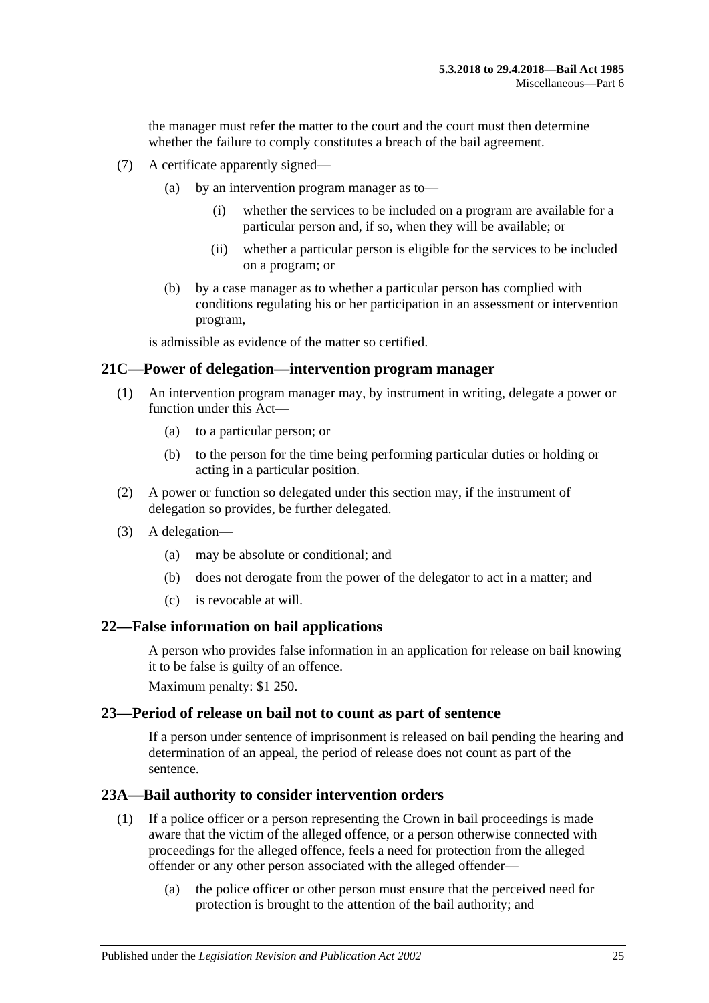the manager must refer the matter to the court and the court must then determine whether the failure to comply constitutes a breach of the bail agreement.

- (7) A certificate apparently signed—
	- (a) by an intervention program manager as to—
		- (i) whether the services to be included on a program are available for a particular person and, if so, when they will be available; or
		- (ii) whether a particular person is eligible for the services to be included on a program; or
	- (b) by a case manager as to whether a particular person has complied with conditions regulating his or her participation in an assessment or intervention program,

is admissible as evidence of the matter so certified.

#### <span id="page-24-0"></span>**21C—Power of delegation—intervention program manager**

- (1) An intervention program manager may, by instrument in writing, delegate a power or function under this Act—
	- (a) to a particular person; or
	- (b) to the person for the time being performing particular duties or holding or acting in a particular position.
- (2) A power or function so delegated under this section may, if the instrument of delegation so provides, be further delegated.
- (3) A delegation—
	- (a) may be absolute or conditional; and
	- (b) does not derogate from the power of the delegator to act in a matter; and
	- (c) is revocable at will.

#### <span id="page-24-1"></span>**22—False information on bail applications**

A person who provides false information in an application for release on bail knowing it to be false is guilty of an offence.

Maximum penalty: \$1 250.

#### <span id="page-24-2"></span>**23—Period of release on bail not to count as part of sentence**

If a person under sentence of imprisonment is released on bail pending the hearing and determination of an appeal, the period of release does not count as part of the sentence.

#### <span id="page-24-3"></span>**23A—Bail authority to consider intervention orders**

- (1) If a police officer or a person representing the Crown in bail proceedings is made aware that the victim of the alleged offence, or a person otherwise connected with proceedings for the alleged offence, feels a need for protection from the alleged offender or any other person associated with the alleged offender—
	- (a) the police officer or other person must ensure that the perceived need for protection is brought to the attention of the bail authority; and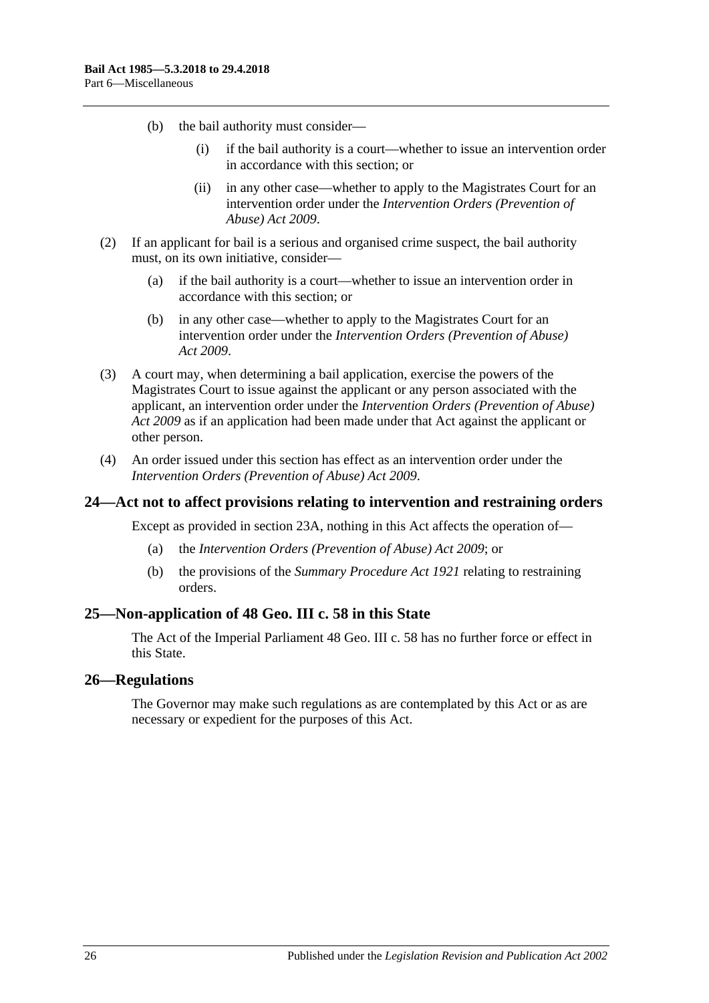- (b) the bail authority must consider—
	- (i) if the bail authority is a court—whether to issue an intervention order in accordance with this section; or
	- (ii) in any other case—whether to apply to the Magistrates Court for an intervention order under the *[Intervention Orders \(Prevention of](http://www.legislation.sa.gov.au/index.aspx?action=legref&type=act&legtitle=Intervention%20Orders%20(Prevention%20of%20Abuse)%20Act%202009)  [Abuse\) Act](http://www.legislation.sa.gov.au/index.aspx?action=legref&type=act&legtitle=Intervention%20Orders%20(Prevention%20of%20Abuse)%20Act%202009) 2009*.
- (2) If an applicant for bail is a serious and organised crime suspect, the bail authority must, on its own initiative, consider—
	- (a) if the bail authority is a court—whether to issue an intervention order in accordance with this section; or
	- (b) in any other case—whether to apply to the Magistrates Court for an intervention order under the *[Intervention Orders \(Prevention of Abuse\)](http://www.legislation.sa.gov.au/index.aspx?action=legref&type=act&legtitle=Intervention%20Orders%20(Prevention%20of%20Abuse)%20Act%202009)  Act [2009](http://www.legislation.sa.gov.au/index.aspx?action=legref&type=act&legtitle=Intervention%20Orders%20(Prevention%20of%20Abuse)%20Act%202009)*.
- (3) A court may, when determining a bail application, exercise the powers of the Magistrates Court to issue against the applicant or any person associated with the applicant, an intervention order under the *[Intervention Orders \(Prevention of Abuse\)](http://www.legislation.sa.gov.au/index.aspx?action=legref&type=act&legtitle=Intervention%20Orders%20(Prevention%20of%20Abuse)%20Act%202009)  Act [2009](http://www.legislation.sa.gov.au/index.aspx?action=legref&type=act&legtitle=Intervention%20Orders%20(Prevention%20of%20Abuse)%20Act%202009)* as if an application had been made under that Act against the applicant or other person.
- (4) An order issued under this section has effect as an intervention order under the *[Intervention Orders \(Prevention of Abuse\) Act](http://www.legislation.sa.gov.au/index.aspx?action=legref&type=act&legtitle=Intervention%20Orders%20(Prevention%20of%20Abuse)%20Act%202009) 2009*.

#### <span id="page-25-0"></span>**24—Act not to affect provisions relating to intervention and restraining orders**

Except as provided in [section](#page-24-3) 23A, nothing in this Act affects the operation of—

- (a) the *[Intervention Orders \(Prevention of Abuse\) Act](http://www.legislation.sa.gov.au/index.aspx?action=legref&type=act&legtitle=Intervention%20Orders%20(Prevention%20of%20Abuse)%20Act%202009) 2009*; or
- (b) the provisions of the *[Summary Procedure Act](http://www.legislation.sa.gov.au/index.aspx?action=legref&type=act&legtitle=Summary%20Procedure%20Act%201921) 1921* relating to restraining orders.

#### <span id="page-25-1"></span>**25—Non-application of 48 Geo. III c. 58 in this State**

The Act of the Imperial Parliament 48 Geo. III c. 58 has no further force or effect in this State.

#### <span id="page-25-2"></span>**26—Regulations**

The Governor may make such regulations as are contemplated by this Act or as are necessary or expedient for the purposes of this Act.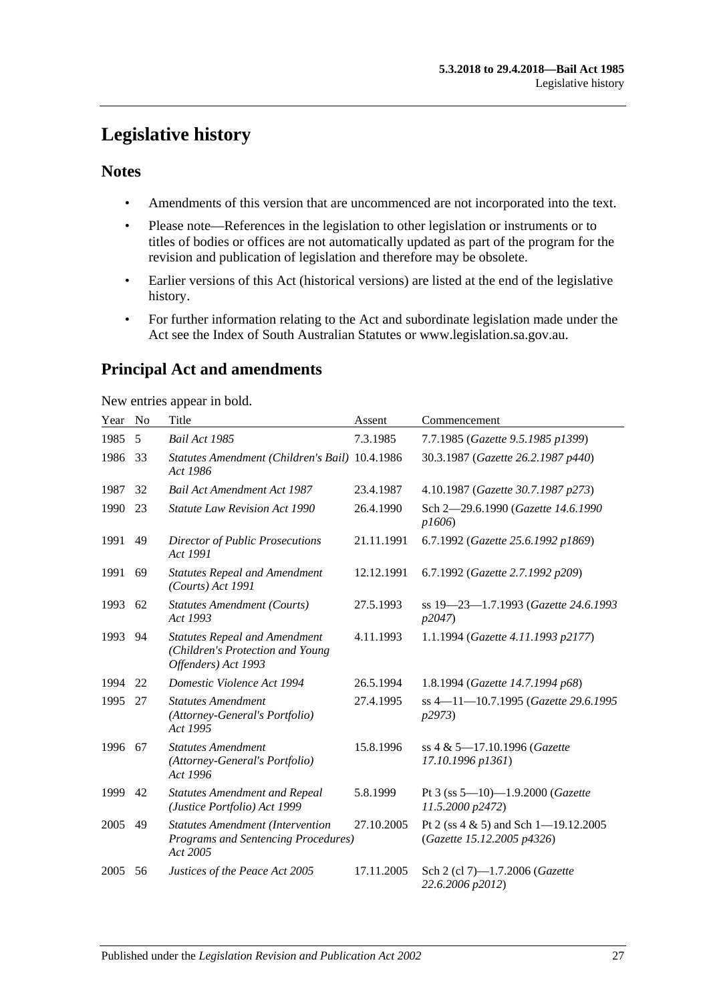# <span id="page-26-0"></span>**Legislative history**

### **Notes**

- Amendments of this version that are uncommenced are not incorporated into the text.
- Please note—References in the legislation to other legislation or instruments or to titles of bodies or offices are not automatically updated as part of the program for the revision and publication of legislation and therefore may be obsolete.
- Earlier versions of this Act (historical versions) are listed at the end of the legislative history.
- For further information relating to the Act and subordinate legislation made under the Act see the Index of South Australian Statutes or www.legislation.sa.gov.au.

# **Principal Act and amendments**

New entries appear in bold.

| Year | No | Title                                                                                           | Assent     | Commencement                                                           |
|------|----|-------------------------------------------------------------------------------------------------|------------|------------------------------------------------------------------------|
| 1985 | 5  | Bail Act 1985                                                                                   | 7.3.1985   | 7.7.1985 (Gazette 9.5.1985 p1399)                                      |
| 1986 | 33 | Statutes Amendment (Children's Bail) 10.4.1986<br>Act 1986                                      |            | 30.3.1987 (Gazette 26.2.1987 p440)                                     |
| 1987 | 32 | <b>Bail Act Amendment Act 1987</b>                                                              | 23.4.1987  | 4.10.1987 (Gazette 30.7.1987 p273)                                     |
| 1990 | 23 | <b>Statute Law Revision Act 1990</b>                                                            | 26.4.1990  | Sch 2-29.6.1990 (Gazette 14.6.1990<br>p1606                            |
| 1991 | 49 | <b>Director of Public Prosecutions</b><br>Act 1991                                              | 21.11.1991 | 6.7.1992 (Gazette 25.6.1992 p1869)                                     |
| 1991 | 69 | <b>Statutes Repeal and Amendment</b><br>(Courts) Act 1991                                       | 12.12.1991 | 6.7.1992 (Gazette 2.7.1992 p209)                                       |
| 1993 | 62 | <b>Statutes Amendment (Courts)</b><br>Act 1993                                                  | 27.5.1993  | ss 19-23-1.7.1993 (Gazette 24.6.1993<br>p2047                          |
| 1993 | 94 | <b>Statutes Repeal and Amendment</b><br>(Children's Protection and Young<br>Offenders) Act 1993 | 4.11.1993  | 1.1.1994 (Gazette 4.11.1993 p2177)                                     |
| 1994 | 22 | Domestic Violence Act 1994                                                                      | 26.5.1994  | 1.8.1994 (Gazette 14.7.1994 p68)                                       |
| 1995 | 27 | <b>Statutes Amendment</b><br>(Attorney-General's Portfolio)<br>Act 1995                         | 27.4.1995  | ss 4-11-10.7.1995 (Gazette 29.6.1995<br>p2973                          |
| 1996 | 67 | <b>Statutes Amendment</b><br>(Attorney-General's Portfolio)<br>Act 1996                         | 15.8.1996  | ss 4 & 5-17.10.1996 (Gazette<br>17.10.1996 p1361)                      |
| 1999 | 42 | <b>Statutes Amendment and Repeal</b><br>(Justice Portfolio) Act 1999                            | 5.8.1999   | Pt 3 (ss $5-10$ )-1.9.2000 (Gazette<br>11.5.2000 p2472)                |
| 2005 | 49 | <b>Statutes Amendment (Intervention</b><br>Programs and Sentencing Procedures)<br>Act 2005      | 27.10.2005 | Pt 2 (ss $4 \& 5$ ) and Sch 1-19.12.2005<br>(Gazette 15.12.2005 p4326) |
| 2005 | 56 | Justices of the Peace Act 2005                                                                  | 17.11.2005 | Sch 2 (cl 7)-1.7.2006 (Gazette<br>22.6.2006 p2012)                     |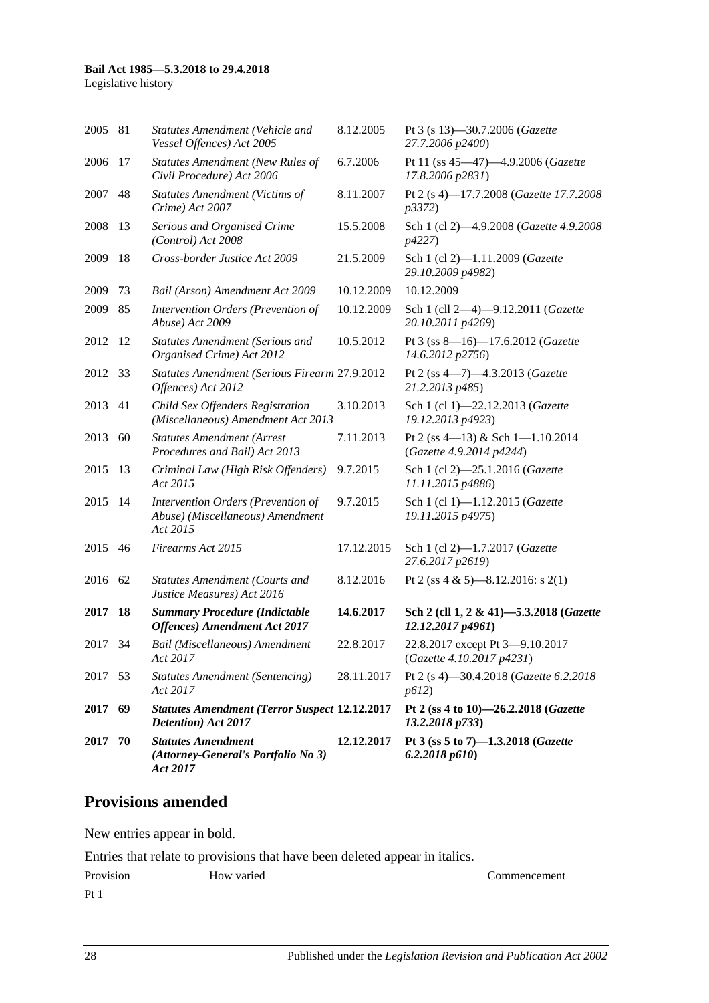### **Bail Act 1985—5.3.2018 to 29.4.2018**

Legislative history

| 2005 81 |    | Statutes Amendment (Vehicle and<br>Vessel Offences) Act 2005                       | 8.12.2005  | Pt 3 (s 13)-30.7.2006 (Gazette<br>27.7.2006 p2400)           |
|---------|----|------------------------------------------------------------------------------------|------------|--------------------------------------------------------------|
| 2006    | 17 | <b>Statutes Amendment (New Rules of</b><br>Civil Procedure) Act 2006               | 6.7.2006   | Pt 11 (ss 45-47)-4.9.2006 (Gazette<br>17.8.2006 p2831)       |
| 2007    | 48 | <b>Statutes Amendment (Victims of</b><br>Crime) Act 2007                           | 8.11.2007  | Pt 2 (s 4)-17.7.2008 (Gazette 17.7.2008<br>p3372)            |
| 2008    | 13 | Serious and Organised Crime<br>(Control) Act 2008                                  | 15.5.2008  | Sch 1 (cl 2)-4.9.2008 (Gazette 4.9.2008)<br>p4227)           |
| 2009    | 18 | Cross-border Justice Act 2009                                                      | 21.5.2009  | Sch 1 (cl 2)-1.11.2009 (Gazette<br>29.10.2009 p4982)         |
| 2009    | 73 | Bail (Arson) Amendment Act 2009                                                    | 10.12.2009 | 10.12.2009                                                   |
| 2009    | 85 | Intervention Orders (Prevention of<br>Abuse) Act 2009                              | 10.12.2009 | Sch 1 (cll 2-4)-9.12.2011 (Gazette<br>20.10.2011 p4269)      |
| 2012    | 12 | <b>Statutes Amendment (Serious and</b><br>Organised Crime) Act 2012                | 10.5.2012  | Pt 3 (ss 8-16)-17.6.2012 (Gazette<br>14.6.2012 p2756)        |
| 2012    | 33 | Statutes Amendment (Serious Firearm 27.9.2012<br>Offences) Act 2012                |            | Pt 2 (ss 4-7)-4.3.2013 (Gazette<br>21.2.2013 p485)           |
| 2013    | 41 | Child Sex Offenders Registration<br>(Miscellaneous) Amendment Act 2013             | 3.10.2013  | Sch 1 (cl 1)-22.12.2013 (Gazette<br>19.12.2013 p4923)        |
| 2013    | 60 | <b>Statutes Amendment (Arrest</b><br>Procedures and Bail) Act 2013                 | 7.11.2013  | Pt 2 (ss 4-13) & Sch 1-1.10.2014<br>(Gazette 4.9.2014 p4244) |
| 2015    | 13 | Criminal Law (High Risk Offenders)<br>Act 2015                                     | 9.7.2015   | Sch 1 (cl 2)-25.1.2016 (Gazette<br>11.11.2015 p4886)         |
| 2015    | 14 | Intervention Orders (Prevention of<br>Abuse) (Miscellaneous) Amendment<br>Act 2015 | 9.7.2015   | Sch 1 (cl 1)-1.12.2015 (Gazette<br>19.11.2015 p4975)         |
| 2015    | 46 | Firearms Act 2015                                                                  | 17.12.2015 | Sch 1 (cl 2)-1.7.2017 (Gazette<br>27.6.2017 p2619)           |
| 2016    | 62 | <b>Statutes Amendment (Courts and</b><br>Justice Measures) Act 2016                | 8.12.2016  | Pt 2 (ss 4 & 5)—8.12.2016: s 2(1)                            |
| 2017    | 18 | <b>Summary Procedure (Indictable</b><br><b>Offences</b> ) Amendment Act 2017       | 14.6.2017  | Sch 2 (cll 1, 2 & 41)-5.3.2018 (Gazette<br>12.12.2017 p4961) |
| 2017    | 34 | Bail (Miscellaneous) Amendment<br>Act 2017                                         | 22.8.2017  | 22.8.2017 except Pt 3-9.10.2017<br>(Gazette 4.10.2017 p4231) |
| 2017 53 |    | <b>Statutes Amendment (Sentencing)</b><br>Act 2017                                 | 28.11.2017 | Pt 2 (s 4)-30.4.2018 (Gazette 6.2.2018<br>p612               |
| 2017    | 69 | <b>Statutes Amendment (Terror Suspect 12.12.2017</b><br>Detention) Act 2017        |            | Pt 2 (ss 4 to 10)-26.2.2018 (Gazette<br>13.2.2018 p733)      |
| 2017    | 70 | <b>Statutes Amendment</b><br>(Attorney-General's Portfolio No 3)<br>Act 2017       | 12.12.2017 | Pt 3 (ss 5 to 7)-1.3.2018 (Gazette<br>6.2.2018p610           |

# **Provisions amended**

New entries appear in bold.

Entries that relate to provisions that have been deleted appear in italics.

| $Pr_0$<br>191011<br>11 U | varie<br>$\cdots$<br>אוו<br>ПU. | ешеш<br>. |
|--------------------------|---------------------------------|-----------|
| $\mathbf{D}$             |                                 |           |

Pt 1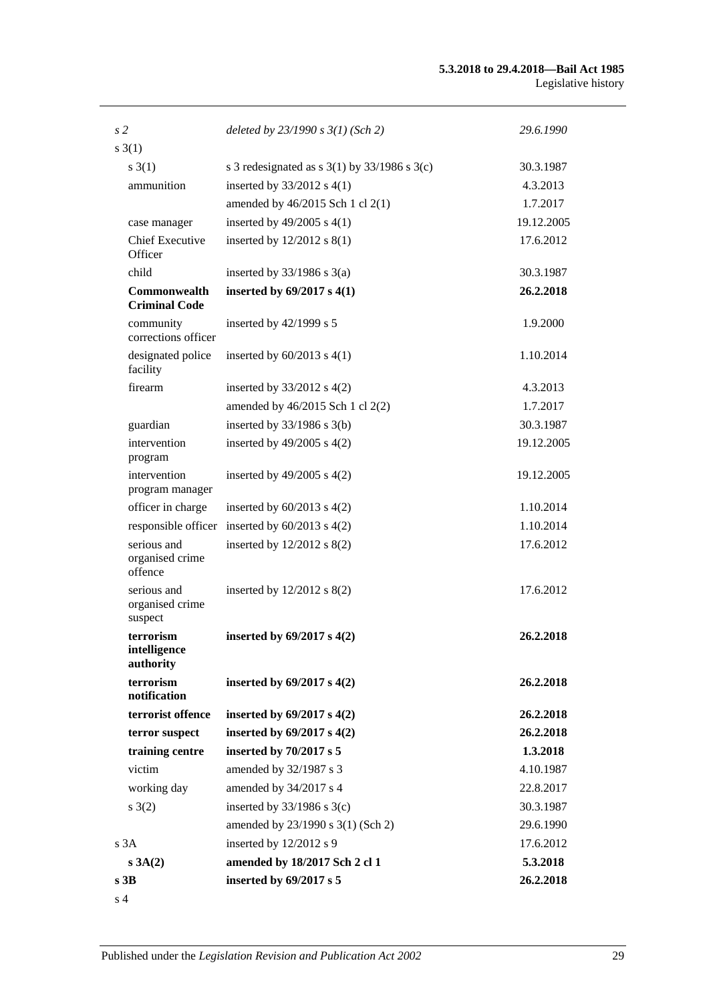#### **5.3.2018 to 29.4.2018—Bail Act 1985** Legislative history

| s <sub>2</sub>                              | deleted by $23/1990 s 3(1)$ (Sch 2)                | 29.6.1990  |
|---------------------------------------------|----------------------------------------------------|------------|
| s(1)                                        |                                                    |            |
| $s \; 3(1)$                                 | s 3 redesignated as s $3(1)$ by $33/1986$ s $3(c)$ | 30.3.1987  |
| ammunition                                  | inserted by $33/2012$ s 4(1)                       | 4.3.2013   |
|                                             | amended by 46/2015 Sch 1 cl 2(1)                   | 1.7.2017   |
| case manager                                | inserted by $49/2005$ s $4(1)$                     | 19.12.2005 |
| <b>Chief Executive</b><br>Officer           | inserted by $12/2012$ s $8(1)$                     | 17.6.2012  |
| child                                       | inserted by $33/1986$ s $3(a)$                     | 30.3.1987  |
| <b>Commonwealth</b><br><b>Criminal Code</b> | inserted by $69/2017$ s $4(1)$                     | 26.2.2018  |
| community<br>corrections officer            | inserted by $42/1999$ s 5                          | 1.9.2000   |
| designated police<br>facility               | inserted by $60/2013$ s $4(1)$                     | 1.10.2014  |
| firearm                                     | inserted by $33/2012$ s 4(2)                       | 4.3.2013   |
|                                             | amended by 46/2015 Sch 1 cl 2(2)                   | 1.7.2017   |
| guardian                                    | inserted by $33/1986$ s $3(b)$                     | 30.3.1987  |
| intervention<br>program                     | inserted by $49/2005$ s $4(2)$                     | 19.12.2005 |
| intervention<br>program manager             | inserted by $49/2005$ s $4(2)$                     | 19.12.2005 |
| officer in charge                           | inserted by $60/2013$ s $4(2)$                     | 1.10.2014  |
|                                             | responsible officer inserted by $60/2013$ s $4(2)$ | 1.10.2014  |
| serious and<br>organised crime<br>offence   | inserted by $12/2012$ s $8(2)$                     | 17.6.2012  |
| serious and<br>organised crime<br>suspect   | inserted by $12/2012$ s $8(2)$                     | 17.6.2012  |
| terrorism<br>intelligence<br>authority      | inserted by $69/2017$ s $4(2)$                     | 26.2.2018  |
| terrorism<br>notification                   | inserted by $69/2017$ s $4(2)$                     | 26.2.2018  |
| terrorist offence                           | inserted by $69/2017$ s $4(2)$                     | 26.2.2018  |
| terror suspect                              | inserted by $69/2017$ s $4(2)$                     | 26.2.2018  |
| training centre                             | inserted by 70/2017 s 5                            | 1.3.2018   |
| victim                                      | amended by 32/1987 s 3                             | 4.10.1987  |
| working day                                 | amended by 34/2017 s 4                             | 22.8.2017  |
| s(2)                                        | inserted by $33/1986$ s 3(c)                       | 30.3.1987  |
|                                             | amended by 23/1990 s 3(1) (Sch 2)                  | 29.6.1990  |
| s3A                                         | inserted by 12/2012 s 9                            | 17.6.2012  |
| s 3A(2)                                     | amended by 18/2017 Sch 2 cl 1                      | 5.3.2018   |
| s <sub>3B</sub>                             | inserted by 69/2017 s 5                            | 26.2.2018  |
| s <sub>4</sub>                              |                                                    |            |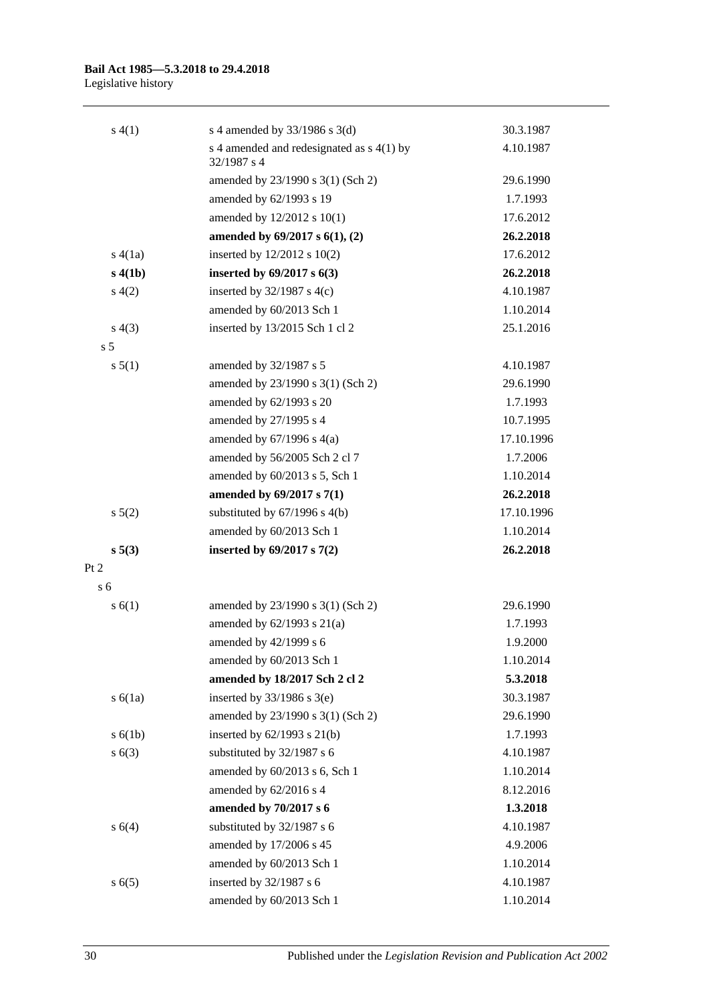#### **Bail Act 1985—5.3.2018 to 29.4.2018** Legislative history

| s(4(1))        | s 4 amended by $33/1986$ s 3(d)                              | 30.3.1987  |
|----------------|--------------------------------------------------------------|------------|
|                | s 4 amended and redesignated as $s$ 4(1) by<br>$32/1987$ s 4 | 4.10.1987  |
|                | amended by 23/1990 s 3(1) (Sch 2)                            | 29.6.1990  |
|                | amended by 62/1993 s 19                                      | 1.7.1993   |
|                | amended by 12/2012 s 10(1)                                   | 17.6.2012  |
|                | amended by $69/2017$ s $6(1)$ , (2)                          | 26.2.2018  |
| s(4(a))        | inserted by $12/2012$ s $10(2)$                              | 17.6.2012  |
| s(4(b))        | inserted by $69/2017$ s $6(3)$                               | 26.2.2018  |
| s(4(2)         | inserted by $32/1987$ s 4(c)                                 | 4.10.1987  |
|                | amended by 60/2013 Sch 1                                     | 1.10.2014  |
| s(4(3))        | inserted by 13/2015 Sch 1 cl 2                               | 25.1.2016  |
| s <sub>5</sub> |                                                              |            |
| s 5(1)         | amended by 32/1987 s 5                                       | 4.10.1987  |
|                | amended by 23/1990 s 3(1) (Sch 2)                            | 29.6.1990  |
|                | amended by 62/1993 s 20                                      | 1.7.1993   |
|                | amended by 27/1995 s 4                                       | 10.7.1995  |
|                | amended by $67/1996$ s $4(a)$                                | 17.10.1996 |
|                | amended by 56/2005 Sch 2 cl 7                                | 1.7.2006   |
|                | amended by 60/2013 s 5, Sch 1                                | 1.10.2014  |
|                | amended by 69/2017 s 7(1)                                    | 26.2.2018  |
| $s\,5(2)$      | substituted by $67/1996$ s $4(b)$                            | 17.10.1996 |
|                | amended by 60/2013 Sch 1                                     | 1.10.2014  |
| s 5(3)         | inserted by $69/2017$ s $7(2)$                               | 26.2.2018  |
| Pt 2           |                                                              |            |
| s 6            |                                                              |            |
| s(6(1))        | amended by 23/1990 s 3(1) (Sch 2)                            | 29.6.1990  |
|                | amended by $62/1993$ s $21(a)$                               | 1.7.1993   |
|                | amended by 42/1999 s 6                                       | 1.9.2000   |
|                | amended by 60/2013 Sch 1                                     | 1.10.2014  |
|                | amended by 18/2017 Sch 2 cl 2                                | 5.3.2018   |
| s(6(1a))       | inserted by $33/1986$ s $3(e)$                               | 30.3.1987  |
|                | amended by 23/1990 s 3(1) (Sch 2)                            | 29.6.1990  |
| s(6(1b))       | inserted by $62/1993$ s $21(b)$                              | 1.7.1993   |
| s(6(3))        | substituted by 32/1987 s 6                                   | 4.10.1987  |
|                | amended by 60/2013 s 6, Sch 1                                | 1.10.2014  |
|                | amended by 62/2016 s 4                                       | 8.12.2016  |
|                | amended by 70/2017 s 6                                       | 1.3.2018   |
| s 6(4)         | substituted by 32/1987 s 6                                   | 4.10.1987  |
|                | amended by 17/2006 s 45                                      | 4.9.2006   |
|                | amended by 60/2013 Sch 1                                     | 1.10.2014  |
| s(6(5)         | inserted by 32/1987 s 6                                      | 4.10.1987  |
|                | amended by 60/2013 Sch 1                                     | 1.10.2014  |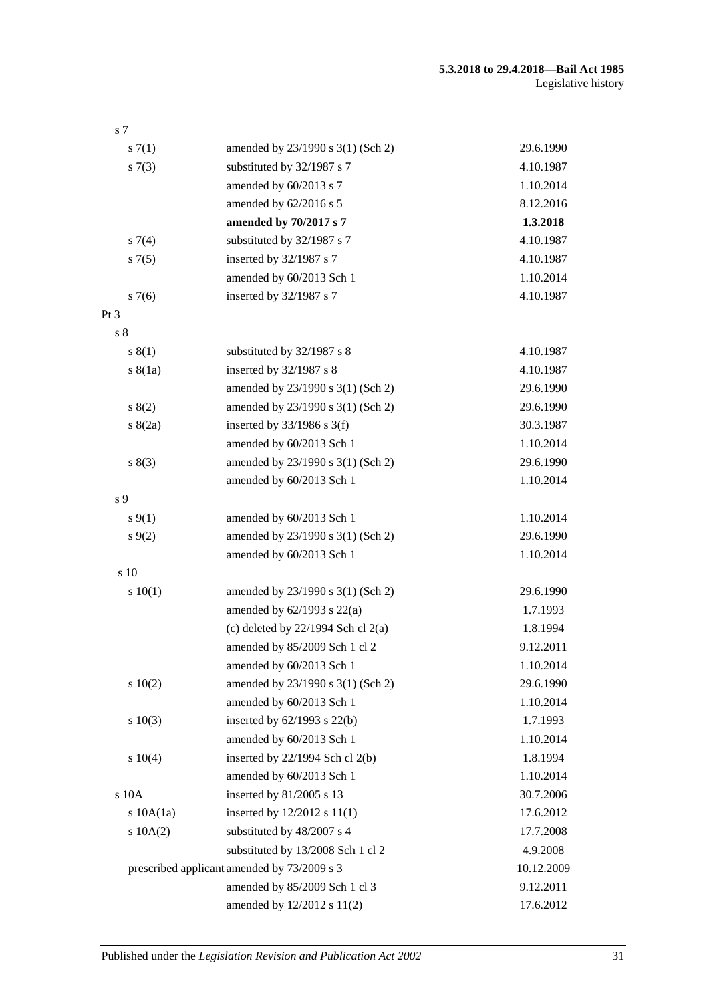| s <sub>7</sub> |                                             |            |
|----------------|---------------------------------------------|------------|
| s(7(1)         | amended by 23/1990 s 3(1) (Sch 2)           | 29.6.1990  |
| s(7(3))        | substituted by 32/1987 s 7                  | 4.10.1987  |
|                | amended by 60/2013 s 7                      | 1.10.2014  |
|                | amended by $62/2016$ s 5                    | 8.12.2016  |
|                | amended by 70/2017 s 7                      | 1.3.2018   |
| $s \, 7(4)$    | substituted by 32/1987 s 7                  | 4.10.1987  |
| $s \, 7(5)$    | inserted by 32/1987 s 7                     | 4.10.1987  |
|                | amended by 60/2013 Sch 1                    | 1.10.2014  |
| s7(6)          | inserted by 32/1987 s 7                     | 4.10.1987  |
| Pt 3           |                                             |            |
| s <sub>8</sub> |                                             |            |
| s(1)           | substituted by 32/1987 s 8                  | 4.10.1987  |
| s(8(1a))       | inserted by $32/1987$ s 8                   | 4.10.1987  |
|                | amended by 23/1990 s 3(1) (Sch 2)           | 29.6.1990  |
| s(2)           | amended by 23/1990 s 3(1) (Sch 2)           | 29.6.1990  |
| s(2a)          | inserted by $33/1986$ s 3(f)                | 30.3.1987  |
|                | amended by 60/2013 Sch 1                    | 1.10.2014  |
| s(3)           | amended by 23/1990 s 3(1) (Sch 2)           | 29.6.1990  |
|                | amended by 60/2013 Sch 1                    | 1.10.2014  |
| s 9            |                                             |            |
| $s \, 9(1)$    | amended by 60/2013 Sch 1                    | 1.10.2014  |
| $s \, 9(2)$    | amended by 23/1990 s 3(1) (Sch 2)           | 29.6.1990  |
|                | amended by 60/2013 Sch 1                    | 1.10.2014  |
| s 10           |                                             |            |
| 10(1)          | amended by 23/1990 s 3(1) (Sch 2)           | 29.6.1990  |
|                | amended by $62/1993$ s $22(a)$              | 1.7.1993   |
|                | (c) deleted by $22/1994$ Sch cl $2(a)$      | 1.8.1994   |
|                | amended by 85/2009 Sch 1 cl 2               | 9.12.2011  |
|                | amended by 60/2013 Sch 1                    | 1.10.2014  |
| 10(2)          | amended by 23/1990 s 3(1) (Sch 2)           | 29.6.1990  |
|                | amended by 60/2013 Sch 1                    | 1.10.2014  |
| $s \ 10(3)$    | inserted by 62/1993 s 22(b)                 | 1.7.1993   |
|                | amended by 60/2013 Sch 1                    | 1.10.2014  |
| s 10(4)        | inserted by 22/1994 Sch cl 2(b)             | 1.8.1994   |
|                | amended by 60/2013 Sch 1                    | 1.10.2014  |
| s 10A          | inserted by 81/2005 s 13                    | 30.7.2006  |
| $s$ 10A $(1a)$ | inserted by 12/2012 s 11(1)                 | 17.6.2012  |
| $s$ 10A $(2)$  | substituted by 48/2007 s 4                  | 17.7.2008  |
|                | substituted by 13/2008 Sch 1 cl 2           | 4.9.2008   |
|                | prescribed applicant amended by 73/2009 s 3 | 10.12.2009 |
|                | amended by 85/2009 Sch 1 cl 3               | 9.12.2011  |
|                | amended by 12/2012 s 11(2)                  | 17.6.2012  |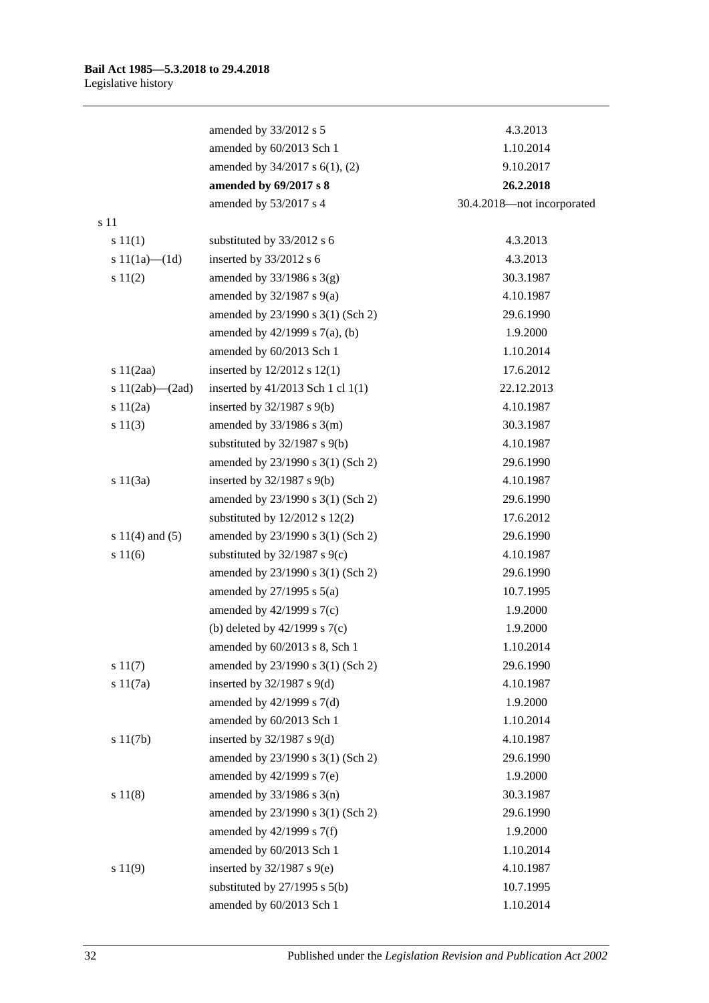|                       | amended by 33/2012 s 5             | 4.3.2013                   |
|-----------------------|------------------------------------|----------------------------|
|                       | amended by 60/2013 Sch 1           | 1.10.2014                  |
|                       | amended by 34/2017 s 6(1), (2)     | 9.10.2017                  |
|                       | amended by 69/2017 s 8             | 26.2.2018                  |
|                       | amended by 53/2017 s 4             | 30.4.2018-not incorporated |
| s 11                  |                                    |                            |
| s 11(1)               | substituted by 33/2012 s 6         | 4.3.2013                   |
| s $11(1a)$ — $(1d)$   | inserted by 33/2012 s 6            | 4.3.2013                   |
| s 11(2)               | amended by $33/1986$ s $3(g)$      | 30.3.1987                  |
|                       | amended by $32/1987$ s $9(a)$      | 4.10.1987                  |
|                       | amended by 23/1990 s 3(1) (Sch 2)  | 29.6.1990                  |
|                       | amended by 42/1999 s 7(a), (b)     | 1.9.2000                   |
|                       | amended by 60/2013 Sch 1           | 1.10.2014                  |
| 11(2aa)               | inserted by $12/2012$ s $12(1)$    | 17.6.2012                  |
| s $11(2ab)$ — $(2ad)$ | inserted by 41/2013 Sch 1 cl 1(1)  | 22.12.2013                 |
| s 11(2a)              | inserted by $32/1987$ s $9(b)$     | 4.10.1987                  |
| s 11(3)               | amended by $33/1986$ s $3(m)$      | 30.3.1987                  |
|                       | substituted by 32/1987 s 9(b)      | 4.10.1987                  |
|                       | amended by 23/1990 s 3(1) (Sch 2)  | 29.6.1990                  |
| s 11(3a)              | inserted by $32/1987$ s $9(b)$     | 4.10.1987                  |
|                       | amended by 23/1990 s 3(1) (Sch 2)  | 29.6.1990                  |
|                       | substituted by $12/2012$ s $12(2)$ | 17.6.2012                  |
| s $11(4)$ and $(5)$   | amended by 23/1990 s 3(1) (Sch 2)  | 29.6.1990                  |
| s 11(6)               | substituted by $32/1987$ s $9(c)$  | 4.10.1987                  |
|                       | amended by 23/1990 s 3(1) (Sch 2)  | 29.6.1990                  |
|                       | amended by $27/1995$ s $5(a)$      | 10.7.1995                  |
|                       | amended by $42/1999$ s $7(c)$      | 1.9.2000                   |
|                       | (b) deleted by $42/1999$ s $7(c)$  | 1.9.2000                   |
|                       | amended by $60/2013$ s 8, Sch 1    | 1.10.2014                  |
| s 11(7)               | amended by 23/1990 s 3(1) (Sch 2)  | 29.6.1990                  |
| s 11(7a)              | inserted by $32/1987$ s $9(d)$     | 4.10.1987                  |
|                       | amended by 42/1999 s 7(d)          | 1.9.2000                   |
|                       | amended by 60/2013 Sch 1           | 1.10.2014                  |
| s 11(7b)              | inserted by $32/1987$ s $9(d)$     | 4.10.1987                  |
|                       | amended by 23/1990 s 3(1) (Sch 2)  | 29.6.1990                  |
|                       | amended by 42/1999 s 7(e)          | 1.9.2000                   |
| s 11(8)               | amended by $33/1986$ s $3(n)$      | 30.3.1987                  |
|                       | amended by 23/1990 s 3(1) (Sch 2)  | 29.6.1990                  |
|                       | amended by 42/1999 s 7(f)          | 1.9.2000                   |
|                       | amended by 60/2013 Sch 1           | 1.10.2014                  |
| s 11(9)               | inserted by $32/1987$ s $9(e)$     | 4.10.1987                  |
|                       | substituted by $27/1995$ s $5(b)$  | 10.7.1995                  |
|                       | amended by 60/2013 Sch 1           | 1.10.2014                  |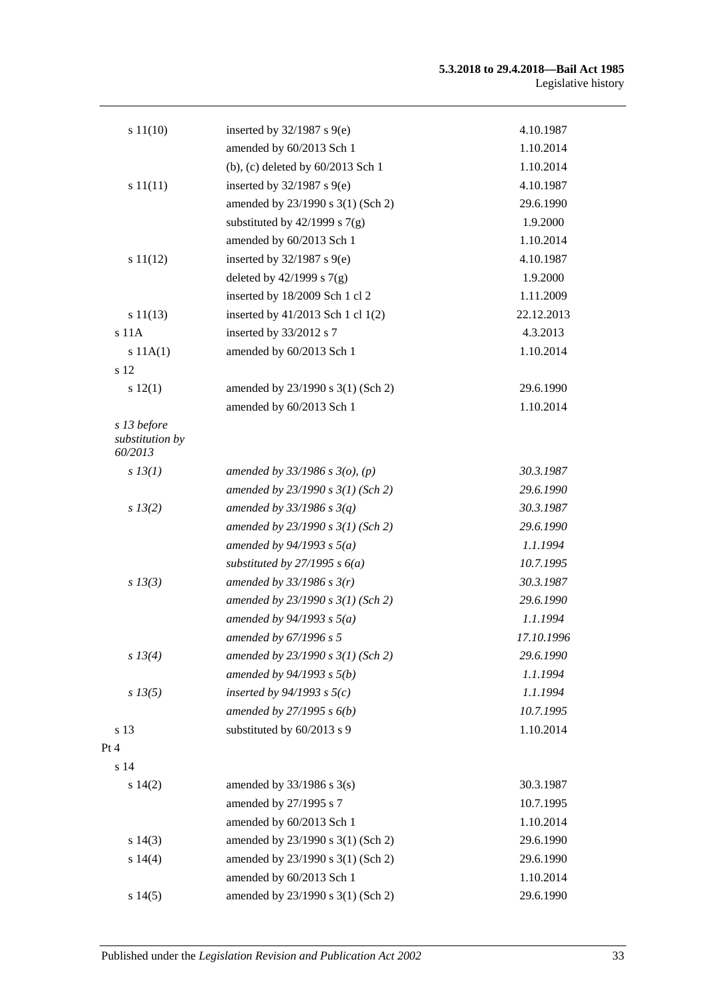| s 11(10)                       | inserted by $32/1987$ s $9(e)$      | 4.10.1987  |
|--------------------------------|-------------------------------------|------------|
|                                | amended by 60/2013 Sch 1            | 1.10.2014  |
|                                | (b), (c) deleted by 60/2013 Sch 1   | 1.10.2014  |
| s 11(11)                       | inserted by $32/1987$ s $9(e)$      | 4.10.1987  |
|                                | amended by 23/1990 s 3(1) (Sch 2)   | 29.6.1990  |
|                                | substituted by $42/1999$ s $7(g)$   | 1.9.2000   |
|                                | amended by 60/2013 Sch 1            | 1.10.2014  |
| s 11(12)                       | inserted by $32/1987$ s $9(e)$      | 4.10.1987  |
|                                | deleted by $42/1999$ s $7(g)$       | 1.9.2000   |
|                                | inserted by 18/2009 Sch 1 cl 2      | 1.11.2009  |
| s 11(13)                       | inserted by 41/2013 Sch 1 cl 1(2)   | 22.12.2013 |
| $s$ 11 $A$                     | inserted by 33/2012 s 7             | 4.3.2013   |
| s 11A(1)                       | amended by 60/2013 Sch 1            | 1.10.2014  |
| s 12                           |                                     |            |
| s 12(1)                        | amended by 23/1990 s 3(1) (Sch 2)   | 29.6.1990  |
|                                | amended by 60/2013 Sch 1            | 1.10.2014  |
| s 13 before<br>substitution by |                                     |            |
| 60/2013                        |                                     |            |
| $s$ 13(1)                      | amended by $33/1986$ s $3(o)$ , (p) | 30.3.1987  |
|                                | amended by $23/1990 s 3(1)$ (Sch 2) | 29.6.1990  |
| $s\,13(2)$                     | amended by $33/1986$ s $3(q)$       | 30.3.1987  |
|                                | amended by $23/1990 s 3(1)$ (Sch 2) | 29.6.1990  |
|                                | amended by $94/1993$ s $5(a)$       | 1.1.1994   |
|                                | substituted by $27/1995 s 6(a)$     | 10.7.1995  |
| $s$ 13(3)                      | amended by $33/1986 s 3(r)$         | 30.3.1987  |
|                                | amended by $23/1990 s 3(1)$ (Sch 2) | 29.6.1990  |
|                                | amended by $94/1993 s 5(a)$         | 1.1.1994   |
|                                | amended by 67/1996 s 5              | 17.10.1996 |
| s 13(4)                        | amended by $23/1990 s 3(1)$ (Sch 2) | 29.6.1990  |
|                                | amended by $94/1993 s 5(b)$         | 1.1.1994   |
| $s\,13(5)$                     | inserted by $94/1993$ s $5(c)$      | 1.1.1994   |
|                                | amended by $27/1995 s 6(b)$         | 10.7.1995  |
| s 13                           | substituted by 60/2013 s 9          | 1.10.2014  |
| Pt 4                           |                                     |            |
| s 14                           |                                     |            |
| s 14(2)                        | amended by $33/1986$ s $3(s)$       | 30.3.1987  |
|                                | amended by 27/1995 s 7              | 10.7.1995  |
|                                | amended by 60/2013 Sch 1            | 1.10.2014  |
| s 14(3)                        | amended by 23/1990 s 3(1) (Sch 2)   | 29.6.1990  |
| s 14(4)                        | amended by 23/1990 s 3(1) (Sch 2)   | 29.6.1990  |
|                                | amended by 60/2013 Sch 1            | 1.10.2014  |
| s 14(5)                        | amended by 23/1990 s 3(1) (Sch 2)   | 29.6.1990  |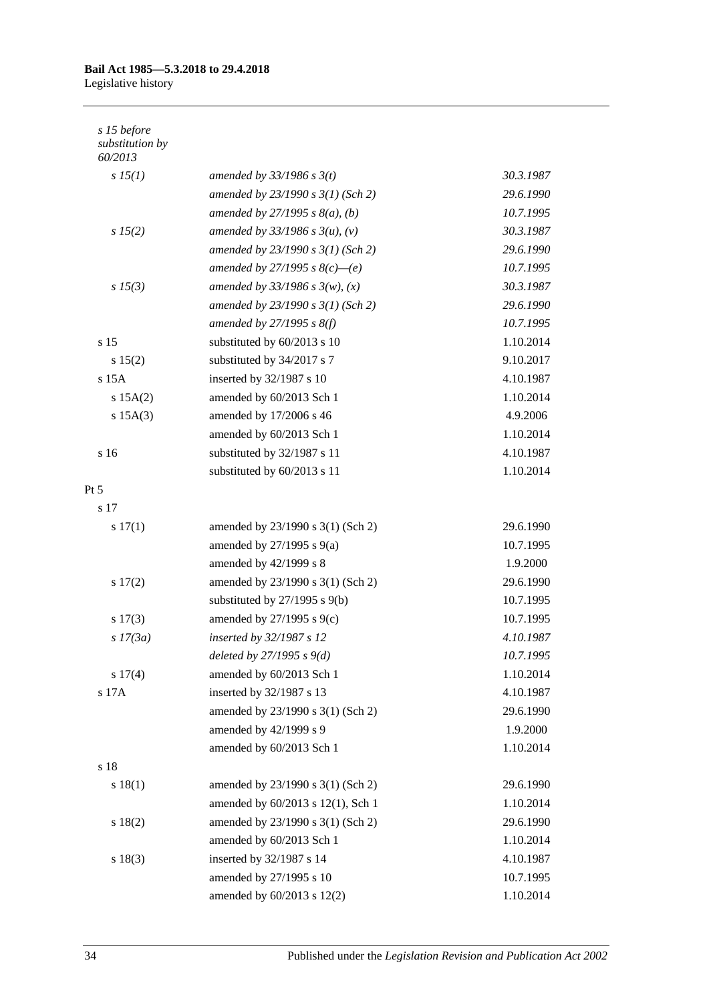#### **Bail Act 1985—5.3.2018 to 29.4.2018** Legislative history

| s 15 before<br>substitution by<br>60/2013 |                                     |           |
|-------------------------------------------|-------------------------------------|-----------|
| $s\,15(1)$                                | amended by $33/1986$ s $3(t)$       | 30.3.1987 |
|                                           | amended by $23/1990 s 3(1)$ (Sch 2) | 29.6.1990 |
|                                           | amended by $27/1995 s 8(a)$ , (b)   | 10.7.1995 |
| $s\,15(2)$                                | amended by $33/1986$ s $3(u)$ , (v) | 30.3.1987 |
|                                           | amended by $23/1990 s 3(1)$ (Sch 2) | 29.6.1990 |
|                                           | amended by 27/1995 s $8(c)$ —(e)    | 10.7.1995 |
| $s\,15(3)$                                | amended by $33/1986 s 3(w)$ , (x)   | 30.3.1987 |
|                                           | amended by $23/1990 s 3(1)$ (Sch 2) | 29.6.1990 |
|                                           | amended by $27/1995$ s $8(f)$       | 10.7.1995 |
| s 15                                      | substituted by 60/2013 s 10         | 1.10.2014 |
| s 15(2)                                   | substituted by 34/2017 s 7          | 9.10.2017 |
| $s$ 15 $A$                                | inserted by 32/1987 s 10            | 4.10.1987 |
| s 15A(2)                                  | amended by 60/2013 Sch 1            | 1.10.2014 |
| $s$ 15A $(3)$                             | amended by 17/2006 s 46             | 4.9.2006  |
|                                           | amended by 60/2013 Sch 1            | 1.10.2014 |
| s 16                                      | substituted by 32/1987 s 11         | 4.10.1987 |
|                                           | substituted by 60/2013 s 11         | 1.10.2014 |
| Pt 5                                      |                                     |           |
| s 17                                      |                                     |           |
| 17(1)                                     | amended by 23/1990 s 3(1) (Sch 2)   | 29.6.1990 |
|                                           | amended by $27/1995$ s $9(a)$       | 10.7.1995 |
|                                           | amended by 42/1999 s 8              | 1.9.2000  |
| s 17(2)                                   | amended by 23/1990 s 3(1) (Sch 2)   | 29.6.1990 |
|                                           | substituted by 27/1995 s 9(b)       | 10.7.1995 |
| s 17(3)                                   | amended by 27/1995 s 9(c)           | 10.7.1995 |
| $s$ 17(3a)                                | inserted by 32/1987 s 12            | 4.10.1987 |
|                                           | deleted by $27/1995 s 9(d)$         | 10.7.1995 |
| s 17(4)                                   | amended by 60/2013 Sch 1            | 1.10.2014 |
| s 17A                                     | inserted by 32/1987 s 13            | 4.10.1987 |
|                                           | amended by 23/1990 s 3(1) (Sch 2)   | 29.6.1990 |
|                                           | amended by 42/1999 s 9              | 1.9.2000  |
|                                           | amended by 60/2013 Sch 1            | 1.10.2014 |
| s 18                                      |                                     |           |
| s 18(1)                                   | amended by 23/1990 s 3(1) (Sch 2)   | 29.6.1990 |
|                                           | amended by 60/2013 s 12(1), Sch 1   | 1.10.2014 |
| s 18(2)                                   | amended by 23/1990 s 3(1) (Sch 2)   | 29.6.1990 |
|                                           | amended by 60/2013 Sch 1            | 1.10.2014 |
| s 18(3)                                   | inserted by 32/1987 s 14            | 4.10.1987 |
|                                           | amended by 27/1995 s 10             | 10.7.1995 |
|                                           | amended by 60/2013 s 12(2)          | 1.10.2014 |

34 Published under the *Legislation Revision and Publication Act 2002*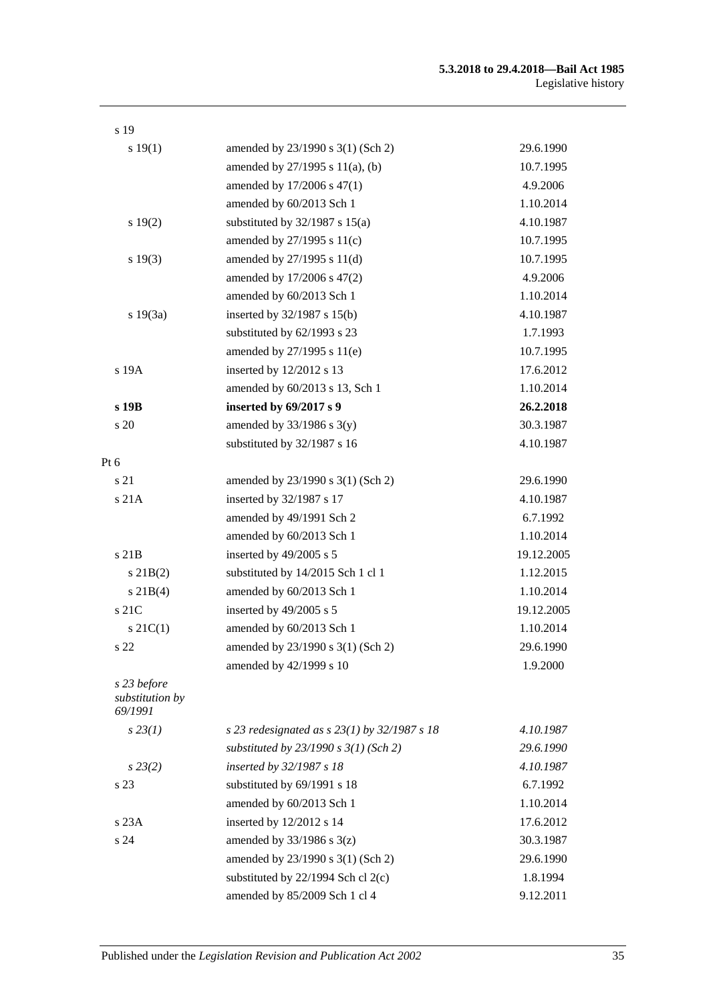| s 19                                      |                                                  |            |
|-------------------------------------------|--------------------------------------------------|------------|
| s 19(1)                                   | amended by 23/1990 s 3(1) (Sch 2)                | 29.6.1990  |
|                                           | amended by 27/1995 s 11(a), (b)                  | 10.7.1995  |
|                                           | amended by 17/2006 s 47(1)                       | 4.9.2006   |
|                                           | amended by 60/2013 Sch 1                         | 1.10.2014  |
| s 19(2)                                   | substituted by $32/1987$ s $15(a)$               | 4.10.1987  |
|                                           | amended by $27/1995$ s $11(c)$                   | 10.7.1995  |
| s 19(3)                                   | amended by $27/1995$ s $11(d)$                   | 10.7.1995  |
|                                           | amended by 17/2006 s 47(2)                       | 4.9.2006   |
|                                           | amended by 60/2013 Sch 1                         | 1.10.2014  |
| s 19(3a)                                  | inserted by $32/1987$ s $15(b)$                  | 4.10.1987  |
|                                           | substituted by 62/1993 s 23                      | 1.7.1993   |
|                                           | amended by 27/1995 s 11(e)                       | 10.7.1995  |
| s 19A                                     | inserted by 12/2012 s 13                         | 17.6.2012  |
|                                           | amended by 60/2013 s 13, Sch 1                   | 1.10.2014  |
| s 19B                                     | inserted by 69/2017 s 9                          | 26.2.2018  |
| s 20                                      | amended by $33/1986$ s $3(y)$                    | 30.3.1987  |
|                                           | substituted by 32/1987 s 16                      | 4.10.1987  |
| Pt 6                                      |                                                  |            |
| s 21                                      | amended by 23/1990 s 3(1) (Sch 2)                | 29.6.1990  |
| s21A                                      | inserted by 32/1987 s 17                         | 4.10.1987  |
|                                           | amended by 49/1991 Sch 2                         | 6.7.1992   |
|                                           | amended by 60/2013 Sch 1                         | 1.10.2014  |
| $s$ 21 $B$                                | inserted by 49/2005 s 5                          | 19.12.2005 |
| $s$ 21B(2)                                | substituted by 14/2015 Sch 1 cl 1                | 1.12.2015  |
| $s \, 21B(4)$                             | amended by 60/2013 Sch 1                         | 1.10.2014  |
| s 21C                                     | inserted by 49/2005 s 5                          | 19.12.2005 |
| $s \, 21C(1)$                             | amended by 60/2013 Sch 1                         | 1.10.2014  |
| s 22                                      | amended by 23/1990 s 3(1) (Sch 2)                | 29.6.1990  |
|                                           | amended by 42/1999 s 10                          | 1.9.2000   |
| s 23 before<br>substitution by<br>69/1991 |                                                  |            |
| $s\,23(1)$                                | s 23 redesignated as s $23(1)$ by $32/1987$ s 18 | 4.10.1987  |
|                                           | substituted by $23/1990$ s $3(1)$ (Sch 2)        | 29.6.1990  |
| $s\,23(2)$                                | inserted by 32/1987 s 18                         | 4.10.1987  |
| s 23                                      | substituted by 69/1991 s 18                      | 6.7.1992   |
|                                           | amended by 60/2013 Sch 1                         | 1.10.2014  |
| s 23A                                     | inserted by 12/2012 s 14                         | 17.6.2012  |
| s 24                                      | amended by $33/1986$ s $3(z)$                    | 30.3.1987  |
|                                           | amended by 23/1990 s 3(1) (Sch 2)                | 29.6.1990  |
|                                           | substituted by $22/1994$ Sch cl $2(c)$           | 1.8.1994   |
|                                           | amended by 85/2009 Sch 1 cl 4                    | 9.12.2011  |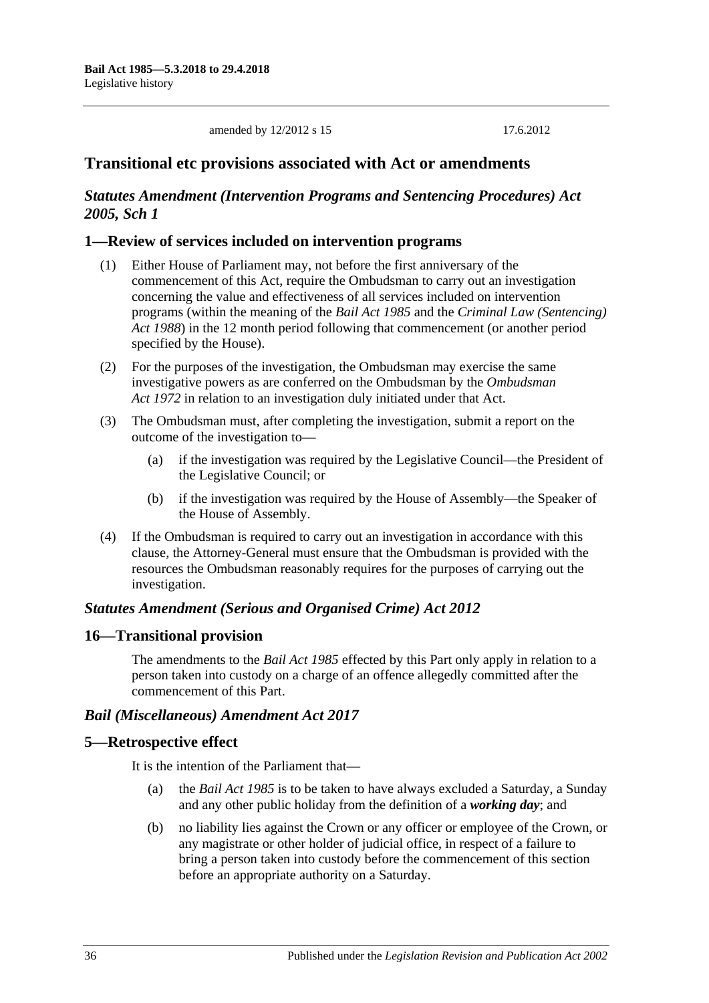amended by 12/2012 s 15 17.6.2012

### **Transitional etc provisions associated with Act or amendments**

### *Statutes Amendment (Intervention Programs and Sentencing Procedures) Act 2005, Sch 1*

#### **1—Review of services included on intervention programs**

- (1) Either House of Parliament may, not before the first anniversary of the commencement of this Act, require the Ombudsman to carry out an investigation concerning the value and effectiveness of all services included on intervention programs (within the meaning of the *[Bail Act](http://www.legislation.sa.gov.au/index.aspx?action=legref&type=act&legtitle=Bail%20Act%201985) 1985* and the *[Criminal Law \(Sentencing\)](http://www.legislation.sa.gov.au/index.aspx?action=legref&type=act&legtitle=Criminal%20Law%20(Sentencing)%20Act%201988)  Act [1988](http://www.legislation.sa.gov.au/index.aspx?action=legref&type=act&legtitle=Criminal%20Law%20(Sentencing)%20Act%201988)*) in the 12 month period following that commencement (or another period specified by the House).
- (2) For the purposes of the investigation, the Ombudsman may exercise the same investigative powers as are conferred on the Ombudsman by the *[Ombudsman](http://www.legislation.sa.gov.au/index.aspx?action=legref&type=act&legtitle=Ombudsman%20Act%201972)  Act [1972](http://www.legislation.sa.gov.au/index.aspx?action=legref&type=act&legtitle=Ombudsman%20Act%201972)* in relation to an investigation duly initiated under that Act.
- (3) The Ombudsman must, after completing the investigation, submit a report on the outcome of the investigation to—
	- (a) if the investigation was required by the Legislative Council—the President of the Legislative Council; or
	- (b) if the investigation was required by the House of Assembly—the Speaker of the House of Assembly.
- (4) If the Ombudsman is required to carry out an investigation in accordance with this clause, the Attorney-General must ensure that the Ombudsman is provided with the resources the Ombudsman reasonably requires for the purposes of carrying out the investigation.

#### *Statutes Amendment (Serious and Organised Crime) Act 2012*

#### **16—Transitional provision**

The amendments to the *[Bail Act](http://www.legislation.sa.gov.au/index.aspx?action=legref&type=act&legtitle=Bail%20Act%201985) 1985* effected by this Part only apply in relation to a person taken into custody on a charge of an offence allegedly committed after the commencement of this Part.

#### *Bail (Miscellaneous) Amendment Act 2017*

#### **5—Retrospective effect**

It is the intention of the Parliament that—

- (a) the *[Bail Act](http://www.legislation.sa.gov.au/index.aspx?action=legref&type=act&legtitle=Bail%20Act%201985) 1985* is to be taken to have always excluded a Saturday, a Sunday and any other public holiday from the definition of a *working day*; and
- (b) no liability lies against the Crown or any officer or employee of the Crown, or any magistrate or other holder of judicial office, in respect of a failure to bring a person taken into custody before the commencement of this section before an appropriate authority on a Saturday.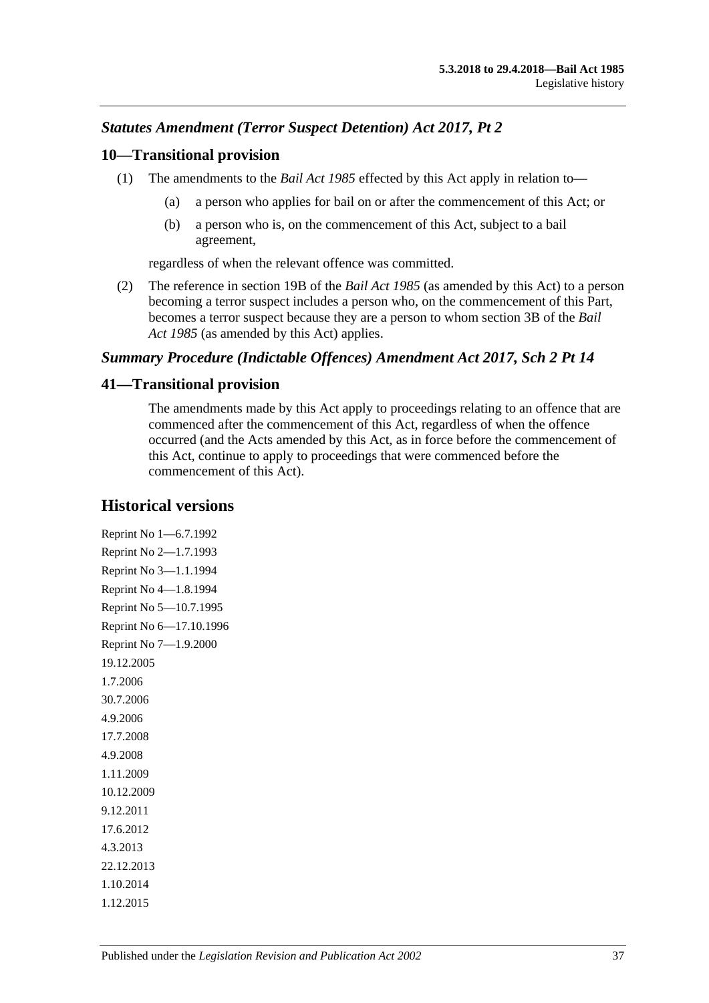### *Statutes Amendment (Terror Suspect Detention) Act 2017, Pt 2*

#### **10—Transitional provision**

- (1) The amendments to the *[Bail Act](http://www.legislation.sa.gov.au/index.aspx?action=legref&type=act&legtitle=Bail%20Act%201985) 1985* effected by this Act apply in relation to—
	- (a) a person who applies for bail on or after the commencement of this Act; or
	- (b) a person who is, on the commencement of this Act, subject to a bail agreement,

regardless of when the relevant offence was committed.

(2) The reference in section 19B of the *[Bail Act](http://www.legislation.sa.gov.au/index.aspx?action=legref&type=act&legtitle=Bail%20Act%201985) 1985* (as amended by this Act) to a person becoming a terror suspect includes a person who, on the commencement of this Part, becomes a terror suspect because they are a person to whom section 3B of the *[Bail](http://www.legislation.sa.gov.au/index.aspx?action=legref&type=act&legtitle=Bail%20Act%201985)  Act [1985](http://www.legislation.sa.gov.au/index.aspx?action=legref&type=act&legtitle=Bail%20Act%201985)* (as amended by this Act) applies.

### *Summary Procedure (Indictable Offences) Amendment Act 2017, Sch 2 Pt 14*

#### **41—Transitional provision**

The amendments made by this Act apply to proceedings relating to an offence that are commenced after the commencement of this Act, regardless of when the offence occurred (and the Acts amended by this Act, as in force before the commencement of this Act, continue to apply to proceedings that were commenced before the commencement of this Act).

### **Historical versions**

Reprint No 1—6.7.1992 Reprint No 2—1.7.1993 Reprint No 3—1.1.1994 Reprint No 4—1.8.1994 Reprint No 5—10.7.1995 Reprint No 6—17.10.1996 Reprint No 7—1.9.2000 19.12.2005 1.7.2006 30.7.2006 4.9.2006 17.7.2008 4.9.2008 1.11.2009 10.12.2009 9.12.2011 17.6.2012 4.3.2013 22.12.2013 1.10.2014 1.12.2015